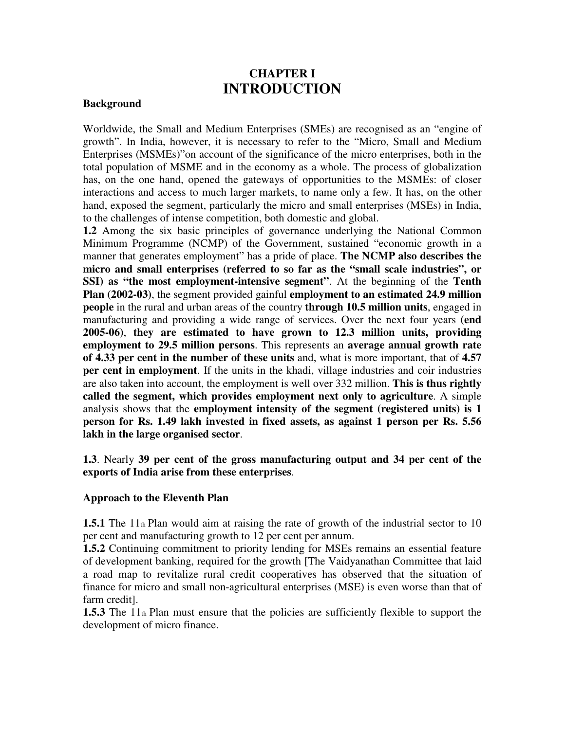# **CHAPTER I INTRODUCTION**

#### **Background**

Worldwide, the Small and Medium Enterprises (SMEs) are recognised as an "engine of growth". In India, however, it is necessary to refer to the "Micro, Small and Medium Enterprises (MSMEs)"on account of the significance of the micro enterprises, both in the total population of MSME and in the economy as a whole. The process of globalization has, on the one hand, opened the gateways of opportunities to the MSMEs: of closer interactions and access to much larger markets, to name only a few. It has, on the other hand, exposed the segment, particularly the micro and small enterprises (MSEs) in India, to the challenges of intense competition, both domestic and global.

**1.2** Among the six basic principles of governance underlying the National Common Minimum Programme (NCMP) of the Government, sustained "economic growth in a manner that generates employment" has a pride of place. **The NCMP also describes the micro and small enterprises (referred to so far as the "small scale industries", or SSI) as "the most employment-intensive segment"**. At the beginning of the **Tenth Plan (2002-03)**, the segment provided gainful **employment to an estimated 24.9 million people** in the rural and urban areas of the country **through 10.5 million units**, engaged in manufacturing and providing a wide range of services. Over the next four years **(end 2005-06)**, **they are estimated to have grown to 12.3 million units, providing employment to 29.5 million persons**. This represents an **average annual growth rate of 4.33 per cent in the number of these units** and, what is more important, that of **4.57 per cent in employment**. If the units in the khadi, village industries and coir industries are also taken into account, the employment is well over 332 million. **This is thus rightly called the segment, which provides employment next only to agriculture**. A simple analysis shows that the **employment intensity of the segment (registered units) is 1 person for Rs. 1.49 lakh invested in fixed assets, as against 1 person per Rs. 5.56 lakh in the large organised sector**.

**1.3**. Nearly **39 per cent of the gross manufacturing output and 34 per cent of the exports of India arise from these enterprises**.

#### **Approach to the Eleventh Plan**

**1.5.1** The 11th Plan would aim at raising the rate of growth of the industrial sector to 10 per cent and manufacturing growth to 12 per cent per annum.

**1.5.2** Continuing commitment to priority lending for MSEs remains an essential feature of development banking, required for the growth [The Vaidyanathan Committee that laid a road map to revitalize rural credit cooperatives has observed that the situation of finance for micro and small non-agricultural enterprises (MSE) is even worse than that of farm credit].

**1.5.3** The 11th Plan must ensure that the policies are sufficiently flexible to support the development of micro finance.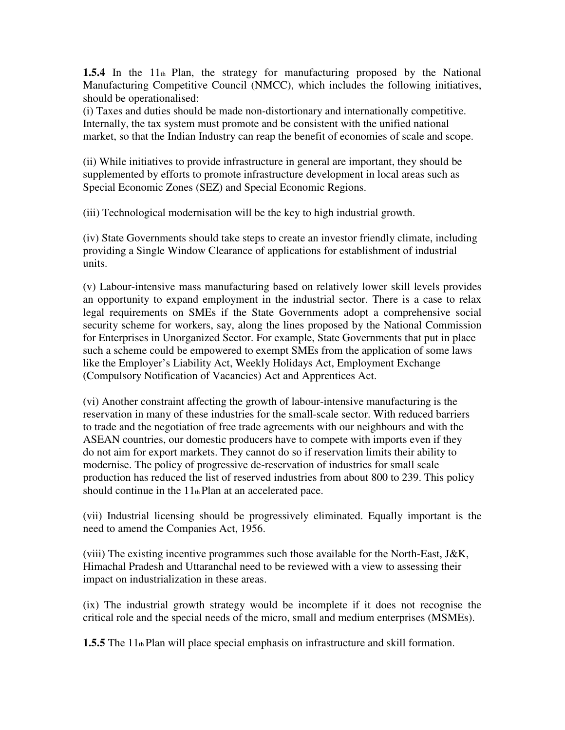**1.5.4** In the 11th Plan, the strategy for manufacturing proposed by the National Manufacturing Competitive Council (NMCC), which includes the following initiatives, should be operationalised:

(i) Taxes and duties should be made non-distortionary and internationally competitive. Internally, the tax system must promote and be consistent with the unified national market, so that the Indian Industry can reap the benefit of economies of scale and scope.

(ii) While initiatives to provide infrastructure in general are important, they should be supplemented by efforts to promote infrastructure development in local areas such as Special Economic Zones (SEZ) and Special Economic Regions.

(iii) Technological modernisation will be the key to high industrial growth.

(iv) State Governments should take steps to create an investor friendly climate, including providing a Single Window Clearance of applications for establishment of industrial units.

(v) Labour-intensive mass manufacturing based on relatively lower skill levels provides an opportunity to expand employment in the industrial sector. There is a case to relax legal requirements on SMEs if the State Governments adopt a comprehensive social security scheme for workers, say, along the lines proposed by the National Commission for Enterprises in Unorganized Sector. For example, State Governments that put in place such a scheme could be empowered to exempt SMEs from the application of some laws like the Employer's Liability Act, Weekly Holidays Act, Employment Exchange (Compulsory Notification of Vacancies) Act and Apprentices Act.

(vi) Another constraint affecting the growth of labour-intensive manufacturing is the reservation in many of these industries for the small-scale sector. With reduced barriers to trade and the negotiation of free trade agreements with our neighbours and with the ASEAN countries, our domestic producers have to compete with imports even if they do not aim for export markets. They cannot do so if reservation limits their ability to modernise. The policy of progressive de-reservation of industries for small scale production has reduced the list of reserved industries from about 800 to 239. This policy should continue in the  $11<sub>th</sub>$  Plan at an accelerated pace.

(vii) Industrial licensing should be progressively eliminated. Equally important is the need to amend the Companies Act, 1956.

(viii) The existing incentive programmes such those available for the North-East, J&K, Himachal Pradesh and Uttaranchal need to be reviewed with a view to assessing their impact on industrialization in these areas.

(ix) The industrial growth strategy would be incomplete if it does not recognise the critical role and the special needs of the micro, small and medium enterprises (MSMEs).

**1.5.5** The 11th Plan will place special emphasis on infrastructure and skill formation.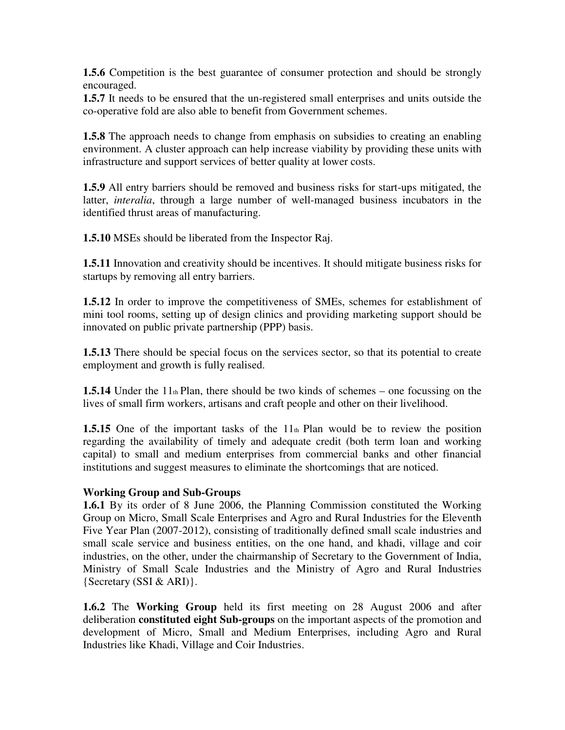**1.5.6** Competition is the best guarantee of consumer protection and should be strongly encouraged.

**1.5.7** It needs to be ensured that the un-registered small enterprises and units outside the co-operative fold are also able to benefit from Government schemes.

**1.5.8** The approach needs to change from emphasis on subsidies to creating an enabling environment. A cluster approach can help increase viability by providing these units with infrastructure and support services of better quality at lower costs.

**1.5.9** All entry barriers should be removed and business risks for start-ups mitigated, the latter, *interalia*, through a large number of well-managed business incubators in the identified thrust areas of manufacturing.

**1.5.10** MSEs should be liberated from the Inspector Raj.

**1.5.11** Innovation and creativity should be incentives. It should mitigate business risks for startups by removing all entry barriers.

**1.5.12** In order to improve the competitiveness of SMEs, schemes for establishment of mini tool rooms, setting up of design clinics and providing marketing support should be innovated on public private partnership (PPP) basis.

**1.5.13** There should be special focus on the services sector, so that its potential to create employment and growth is fully realised.

**1.5.14** Under the 11th Plan, there should be two kinds of schemes – one focussing on the lives of small firm workers, artisans and craft people and other on their livelihood.

**1.5.15** One of the important tasks of the 11th Plan would be to review the position regarding the availability of timely and adequate credit (both term loan and working capital) to small and medium enterprises from commercial banks and other financial institutions and suggest measures to eliminate the shortcomings that are noticed.

## **Working Group and Sub-Groups**

**1.6.1** By its order of 8 June 2006, the Planning Commission constituted the Working Group on Micro, Small Scale Enterprises and Agro and Rural Industries for the Eleventh Five Year Plan (2007-2012), consisting of traditionally defined small scale industries and small scale service and business entities, on the one hand, and khadi, village and coir industries, on the other, under the chairmanship of Secretary to the Government of India, Ministry of Small Scale Industries and the Ministry of Agro and Rural Industries {Secretary (SSI & ARI)}.

**1.6.2** The **Working Group** held its first meeting on 28 August 2006 and after deliberation **constituted eight Sub-groups** on the important aspects of the promotion and development of Micro, Small and Medium Enterprises, including Agro and Rural Industries like Khadi, Village and Coir Industries.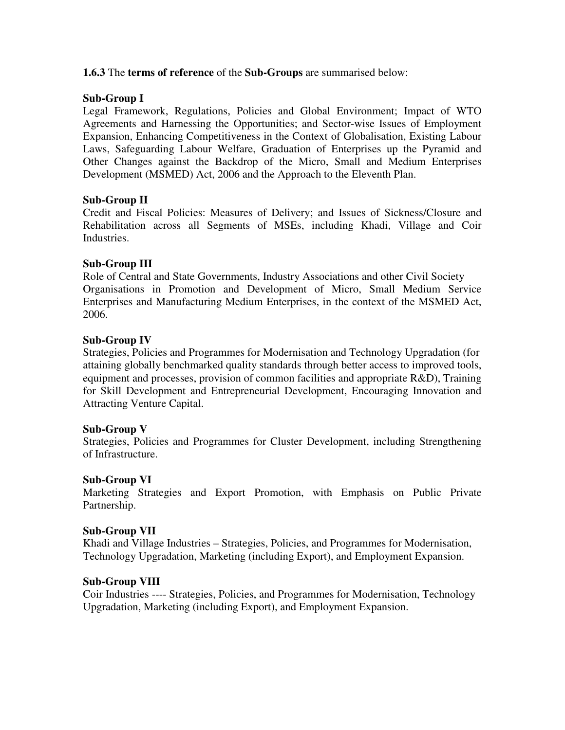#### **1.6.3** The **terms of reference** of the **Sub-Groups** are summarised below:

#### **Sub-Group I**

Legal Framework, Regulations, Policies and Global Environment; Impact of WTO Agreements and Harnessing the Opportunities; and Sector-wise Issues of Employment Expansion, Enhancing Competitiveness in the Context of Globalisation, Existing Labour Laws, Safeguarding Labour Welfare, Graduation of Enterprises up the Pyramid and Other Changes against the Backdrop of the Micro, Small and Medium Enterprises Development (MSMED) Act, 2006 and the Approach to the Eleventh Plan.

#### **Sub-Group II**

Credit and Fiscal Policies: Measures of Delivery; and Issues of Sickness/Closure and Rehabilitation across all Segments of MSEs, including Khadi, Village and Coir Industries.

#### **Sub-Group III**

Role of Central and State Governments, Industry Associations and other Civil Society Organisations in Promotion and Development of Micro, Small Medium Service Enterprises and Manufacturing Medium Enterprises, in the context of the MSMED Act, 2006.

#### **Sub-Group IV**

Strategies, Policies and Programmes for Modernisation and Technology Upgradation (for attaining globally benchmarked quality standards through better access to improved tools, equipment and processes, provision of common facilities and appropriate R&D), Training for Skill Development and Entrepreneurial Development, Encouraging Innovation and Attracting Venture Capital.

#### **Sub-Group V**

Strategies, Policies and Programmes for Cluster Development, including Strengthening of Infrastructure.

#### **Sub-Group VI**

Marketing Strategies and Export Promotion, with Emphasis on Public Private Partnership.

#### **Sub-Group VII**

Khadi and Village Industries – Strategies, Policies, and Programmes for Modernisation, Technology Upgradation, Marketing (including Export), and Employment Expansion.

#### **Sub-Group VIII**

Coir Industries ---- Strategies, Policies, and Programmes for Modernisation, Technology Upgradation, Marketing (including Export), and Employment Expansion.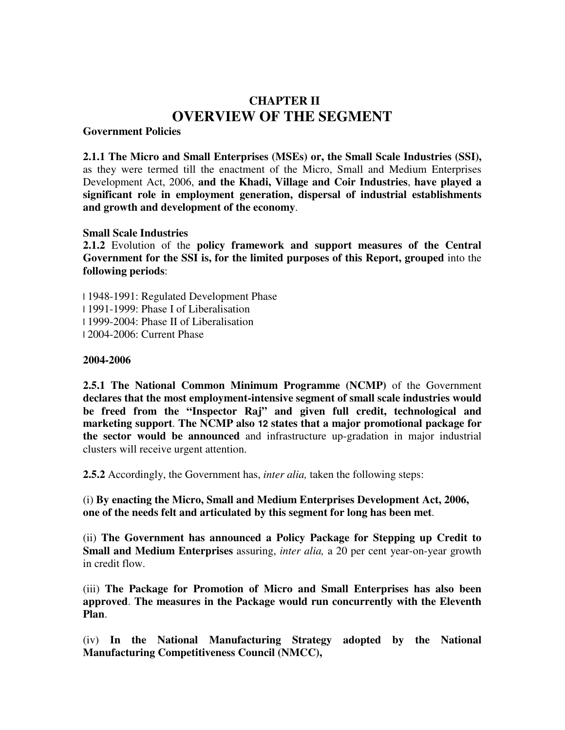# **CHAPTER II OVERVIEW OF THE SEGMENT**

**Government Policies** 

**2.1.1 The Micro and Small Enterprises (MSEs) or, the Small Scale Industries (SSI),**  as they were termed till the enactment of the Micro, Small and Medium Enterprises Development Act, 2006, **and the Khadi, Village and Coir Industries**, **have played a significant role in employment generation, dispersal of industrial establishments and growth and development of the economy**.

#### **Small Scale Industries**

**2.1.2** Evolution of the **policy framework and support measures of the Central Government for the SSI is, for the limited purposes of this Report, grouped** into the **following periods**:

l 1948-1991: Regulated Development Phase l 1991-1999: Phase I of Liberalisation l 1999-2004: Phase II of Liberalisation l 2004-2006: Current Phase

#### **2004-2006**

**2.5.1 The National Common Minimum Programme (NCMP)** of the Government **declares that the most employment-intensive segment of small scale industries would be freed from the "Inspector Raj" and given full credit, technological and marketing support**. **The NCMP also 12 states that a major promotional package for the sector would be announced** and infrastructure up-gradation in major industrial clusters will receive urgent attention.

**2.5.2** Accordingly, the Government has, *inter alia,* taken the following steps:

(i) **By enacting the Micro, Small and Medium Enterprises Development Act, 2006, one of the needs felt and articulated by this segment for long has been met**.

(ii) **The Government has announced a Policy Package for Stepping up Credit to Small and Medium Enterprises** assuring, *inter alia,* a 20 per cent year-on-year growth in credit flow.

(iii) **The Package for Promotion of Micro and Small Enterprises has also been approved**. **The measures in the Package would run concurrently with the Eleventh Plan**.

(iv) **In the National Manufacturing Strategy adopted by the National Manufacturing Competitiveness Council (NMCC),**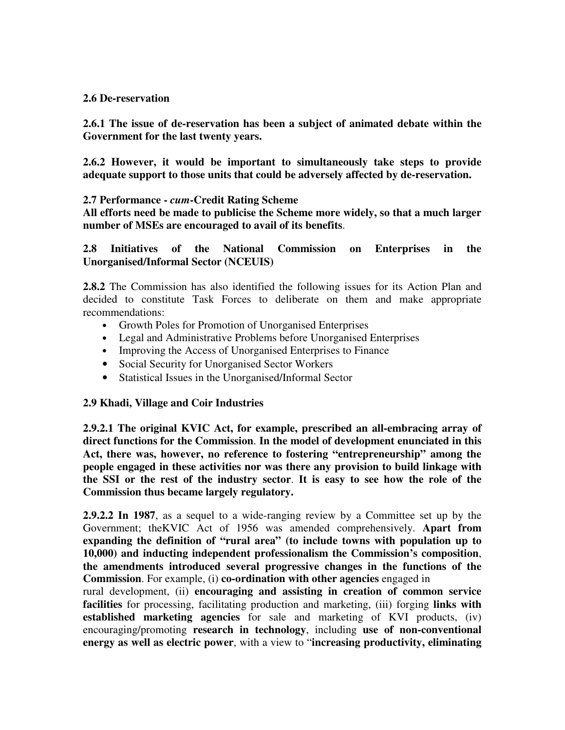#### **2.6 De-reservation**

**2.6.1 The issue of de-reservation has been a subject of animated debate within the Government for the last twenty years.** 

**2.6.2 However, it would be important to simultaneously take steps to provide adequate support to those units that could be adversely affected by de-reservation.** 

#### **2.7 Performance -** *cum***-Credit Rating Scheme**

**All efforts need be made to publicise the Scheme more widely, so that a much larger number of MSEs are encouraged to avail of its benefits**.

#### **2.8 Initiatives of the National Commission on Enterprises in the Unorganised/Informal Sector (NCEUIS)**

**2.8.2** The Commission has also identified the following issues for its Action Plan and decided to constitute Task Forces to deliberate on them and make appropriate recommendations:

- Growth Poles for Promotion of Unorganised Enterprises
- Legal and Administrative Problems before Unorganised Enterprises
- Improving the Access of Unorganised Enterprises to Finance
- Social Security for Unorganised Sector Workers
- Statistical Issues in the Unorganised/Informal Sector

## **2.9 Khadi, Village and Coir Industries**

**2.9.2.1 The original KVIC Act, for example, prescribed an all-embracing array of direct functions for the Commission**. **In the model of development enunciated in this Act, there was, however, no reference to fostering "entrepreneurship" among the people engaged in these activities nor was there any provision to build linkage with the SSI or the rest of the industry sector**. **It is easy to see how the role of the Commission thus became largely regulatory.** 

**2.9.2.2 In 1987**, as a sequel to a wide-ranging review by a Committee set up by the Government; theKVIC Act of 1956 was amended comprehensively. **Apart from expanding the definition of "rural area" (to include towns with population up to 10,000) and inducting independent professionalism the Commission's composition**, **the amendments introduced several progressive changes in the functions of the Commission**. For example, (i) **co-ordination with other agencies** engaged in

rural development, (ii) **encouraging and assisting in creation of common service facilities** for processing, facilitating production and marketing, (iii) forging **links with established marketing agencies** for sale and marketing of KVI products, (iv) encouraging/promoting **research in technology**, including **use of non-conventional energy as well as electric power**, with a view to "**increasing productivity, eliminating**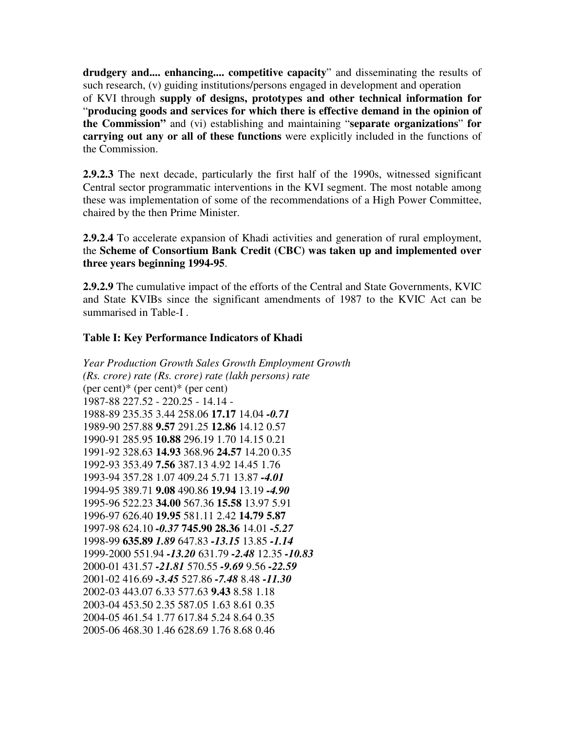**drudgery and.... enhancing.... competitive capacity**" and disseminating the results of such research, (v) guiding institutions/persons engaged in development and operation of KVI through **supply of designs, prototypes and other technical information for**  "**producing goods and services for which there is effective demand in the opinion of the Commission"** and (vi) establishing and maintaining "**separate organizations**" **for carrying out any or all of these functions** were explicitly included in the functions of the Commission.

**2.9.2.3** The next decade, particularly the first half of the 1990s, witnessed significant Central sector programmatic interventions in the KVI segment. The most notable among these was implementation of some of the recommendations of a High Power Committee, chaired by the then Prime Minister.

**2.9.2.4** To accelerate expansion of Khadi activities and generation of rural employment, the **Scheme of Consortium Bank Credit (CBC) was taken up and implemented over three years beginning 1994-95**.

**2.9.2.9** The cumulative impact of the efforts of the Central and State Governments, KVIC and State KVIBs since the significant amendments of 1987 to the KVIC Act can be summarised in Table-I .

#### **Table I: Key Performance Indicators of Khadi**

*Year Production Growth Sales Growth Employment Growth (Rs. crore) rate (Rs. crore) rate (lakh persons) rate*   $(\text{per cent})^*$  (per cent)\* (per cent) 1987-88 227.52 - 220.25 - 14.14 - 1988-89 235.35 3.44 258.06 **17.17** 14.04 *-0.71*  1989-90 257.88 **9.57** 291.25 **12.86** 14.12 0.57 1990-91 285.95 **10.88** 296.19 1.70 14.15 0.21 1991-92 328.63 **14.93** 368.96 **24.57** 14.20 0.35 1992-93 353.49 **7.56** 387.13 4.92 14.45 1.76 1993-94 357.28 1.07 409.24 5.71 13.87 *-4.01*  1994-95 389.71 **9.08** 490.86 **19.94** 13.19 *-4.90*  1995-96 522.23 **34.00** 567.36 **15.58** 13.97 5.91 1996-97 626.40 **19.95** 581.11 2.42 **14.79 5.87**  1997-98 624.10 *-0.37* **745.90 28.36** 14.01 *-5.27*  1998-99 **635.89** *1.89* 647.83 *-13.15* 13.85 *-1.14*  1999-2000 551.94 *-13.20* 631.79 *-2.48* 12.35 *-10.83*  2000-01 431.57 *-21.81* 570.55 *-9.69* 9.56 *-22.59*  2001-02 416.69 *-3.45* 527.86 *-7.48* 8.48 *-11.30*  2002-03 443.07 6.33 577.63 **9.43** 8.58 1.18 2003-04 453.50 2.35 587.05 1.63 8.61 0.35 2004-05 461.54 1.77 617.84 5.24 8.64 0.35 2005-06 468.30 1.46 628.69 1.76 8.68 0.46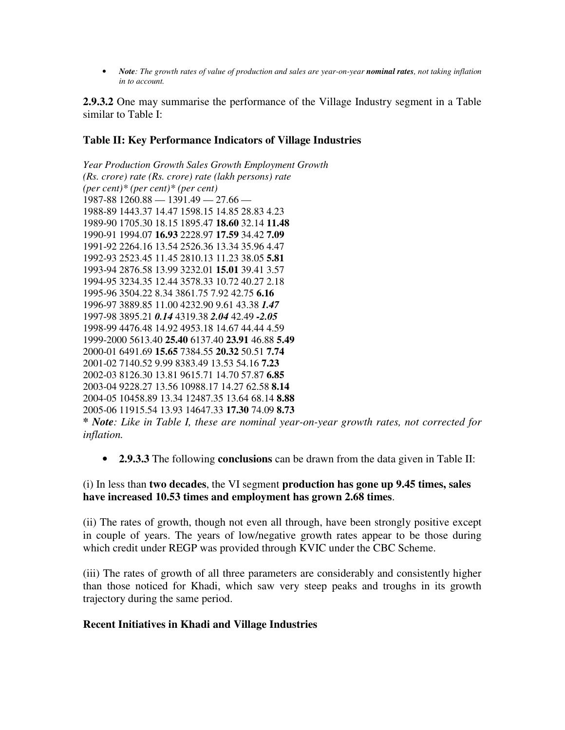• *Note: The growth rates of value of production and sales are year-on-year nominal rates, not taking inflation in to account.* 

**2.9.3.2** One may summarise the performance of the Village Industry segment in a Table similar to Table I:

#### **Table II: Key Performance Indicators of Village Industries**

*Year Production Growth Sales Growth Employment Growth (Rs. crore) rate (Rs. crore) rate (lakh persons) rate (per cent)\* (per cent)\* (per cent)*  1987-88 1260.88 — 1391.49 — 27.66 — 1988-89 1443.37 14.47 1598.15 14.85 28.83 4.23 1989-90 1705.30 18.15 1895.47 **18.60** 32.14 **11.48**  1990-91 1994.07 **16.93** 2228.97 **17.59** 34.42 **7.09**  1991-92 2264.16 13.54 2526.36 13.34 35.96 4.47 1992-93 2523.45 11.45 2810.13 11.23 38.05 **5.81**  1993-94 2876.58 13.99 3232.01 **15.01** 39.41 3.57 1994-95 3234.35 12.44 3578.33 10.72 40.27 2.18 1995-96 3504.22 8.34 3861.75 7.92 42.75 **6.16**  1996-97 3889.85 11.00 4232.90 9.61 43.38 *1.47*  1997-98 3895.21 *0.14* 4319.38 *2.04* 42.49 *-2.05*  1998-99 4476.48 14.92 4953.18 14.67 44.44 4.59 1999-2000 5613.40 **25.40** 6137.40 **23.91** 46.88 **5.49**  2000-01 6491.69 **15.65** 7384.55 **20.32** 50.51 **7.74**  2001-02 7140.52 9.99 8383.49 13.53 54.16 **7.23**  2002-03 8126.30 13.81 9615.71 14.70 57.87 **6.85**  2003-04 9228.27 13.56 10988.17 14.27 62.58 **8.14**  2004-05 10458.89 13.34 12487.35 13.64 68.14 **8.88**  2005-06 11915.54 13.93 14647.33 **17.30** 74.09 **8.73** 

**\*** *Note: Like in Table I, these are nominal year-on-year growth rates, not corrected for inflation.* 

• **2.9.3.3** The following **conclusions** can be drawn from the data given in Table II:

#### (i) In less than **two decades**, the VI segment **production has gone up 9.45 times, sales have increased 10.53 times and employment has grown 2.68 times**.

(ii) The rates of growth, though not even all through, have been strongly positive except in couple of years. The years of low/negative growth rates appear to be those during which credit under REGP was provided through KVIC under the CBC Scheme.

(iii) The rates of growth of all three parameters are considerably and consistently higher than those noticed for Khadi, which saw very steep peaks and troughs in its growth trajectory during the same period.

#### **Recent Initiatives in Khadi and Village Industries**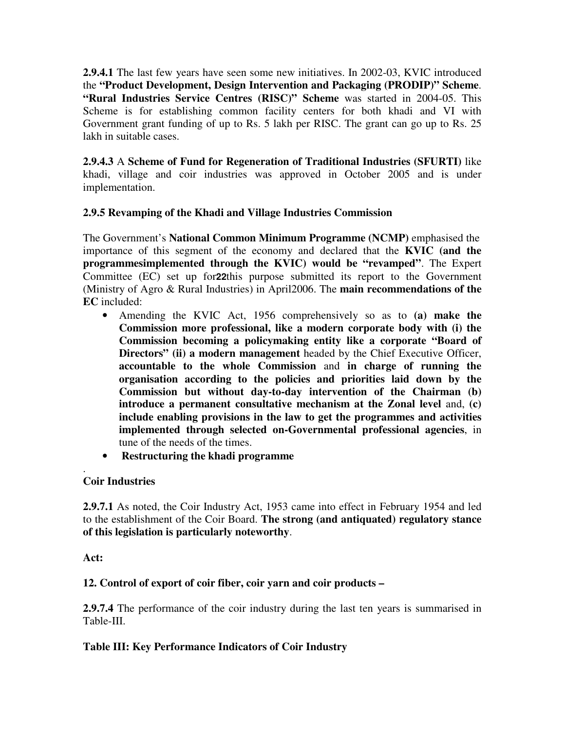**2.9.4.1** The last few years have seen some new initiatives. In 2002-03, KVIC introduced the **"Product Development, Design Intervention and Packaging (PRODIP)" Scheme**. **"Rural Industries Service Centres (RISC)" Scheme** was started in 2004-05. This Scheme is for establishing common facility centers for both khadi and VI with Government grant funding of up to Rs. 5 lakh per RISC. The grant can go up to Rs. 25 lakh in suitable cases.

**2.9.4.3** A **Scheme of Fund for Regeneration of Traditional Industries (SFURTI)** like khadi, village and coir industries was approved in October 2005 and is under implementation.

# **2.9.5 Revamping of the Khadi and Village Industries Commission**

The Government's **National Common Minimum Programme (NCMP)** emphasised the importance of this segment of the economy and declared that the **KVIC (and the programmesimplemented through the KVIC) would be "revamped"**. The Expert Committee (EC) set up for**22**this purpose submitted its report to the Government (Ministry of Agro & Rural Industries) in April2006. The **main recommendations of the EC** included:

- Amending the KVIC Act, 1956 comprehensively so as to **(a) make the Commission more professional, like a modern corporate body with (i) the Commission becoming a policymaking entity like a corporate "Board of Directors" (ii) a modern management** headed by the Chief Executive Officer, **accountable to the whole Commission** and **in charge of running the organisation according to the policies and priorities laid down by the Commission but without day-to-day intervention of the Chairman (b) introduce a permanent consultative mechanism at the Zonal level** and, **(c) include enabling provisions in the law to get the programmes and activities implemented through selected on-Governmental professional agencies**, in tune of the needs of the times.
- **Restructuring the khadi programme**

#### . **Coir Industries**

**2.9.7.1** As noted, the Coir Industry Act, 1953 came into effect in February 1954 and led to the establishment of the Coir Board. **The strong (and antiquated) regulatory stance of this legislation is particularly noteworthy**.

**Act:** 

# **12. Control of export of coir fiber, coir yarn and coir products –**

**2.9.7.4** The performance of the coir industry during the last ten years is summarised in Table-III.

# **Table III: Key Performance Indicators of Coir Industry**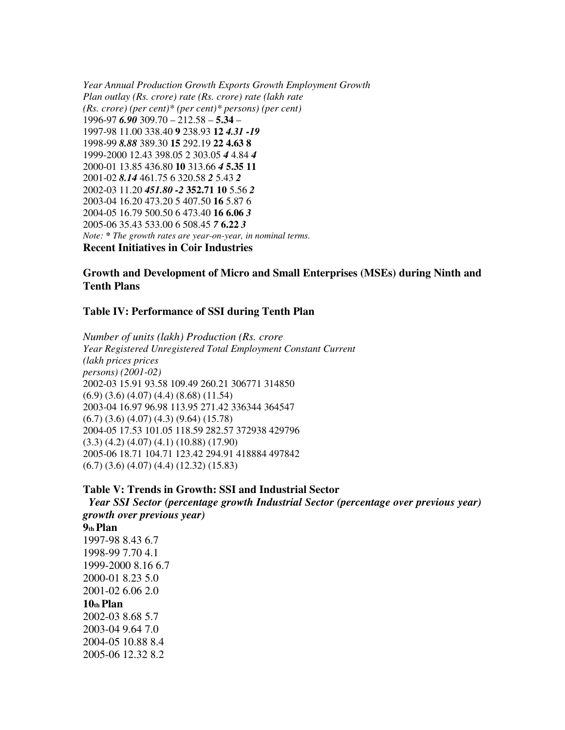*Year Annual Production Growth Exports Growth Employment Growth Plan outlay (Rs. crore) rate (Rs. crore) rate (lakh rate (Rs. crore) (per cent)\* (per cent)\* persons) (per cent)*  1996-97 *6.90* 309.70 – 212.58 – **5.34** – 1997-98 11.00 338.40 **9** 238.93 **12** *4.31 -19*  1998-99 *8.88* 389.30 **15** 292.19 **22 4.63 8**  1999-2000 12.43 398.05 2 303.05 *4* 4.84 *4*  2000-01 13.85 436.80 **10** 313.66 *4* **5.35 11**  2001-02 *8.14* 461.75 6 320.58 *2* 5.43 *2*  2002-03 11.20 *451.80 -2* **352.71 10** 5.56 *2*  2003-04 16.20 473.20 5 407.50 **16** 5.87 6 2004-05 16.79 500.50 6 473.40 **16 6.06** *3*  2005-06 35.43 533.00 6 508.45 *7* **6.22** *3 Note: \* The growth rates are year-on-year, in nominal terms.*  **Recent Initiatives in Coir Industries** 

#### **Growth and Development of Micro and Small Enterprises (MSEs) during Ninth and Tenth Plans**

#### **Table IV: Performance of SSI during Tenth Plan**

*Number of units (lakh) Production (Rs. crore Year Registered Unregistered Total Employment Constant Current (lakh prices prices persons) (2001-02)*  2002-03 15.91 93.58 109.49 260.21 306771 314850 (6.9) (3.6) (4.07) (4.4) (8.68) (11.54) 2003-04 16.97 96.98 113.95 271.42 336344 364547 (6.7) (3.6) (4.07) (4.3) (9.64) (15.78) 2004-05 17.53 101.05 118.59 282.57 372938 429796 (3.3) (4.2) (4.07) (4.1) (10.88) (17.90) 2005-06 18.71 104.71 123.42 294.91 418884 497842 (6.7) (3.6) (4.07) (4.4) (12.32) (15.83)

#### **Table V: Trends in Growth: SSI and Industrial Sector**

*Year SSI Sector (percentage growth Industrial Sector (percentage over previous year) growth over previous year)*  **9th Plan**  1997-98 8.43 6.7 1998-99 7.70 4.1 1999-2000 8.16 6.7 2000-01 8.23 5.0 2001-02 6.06 2.0 **10th Plan**  2002-03 8.68 5.7 2003-04 9.64 7.0 2004-05 10.88 8.4 2005-06 12.32 8.2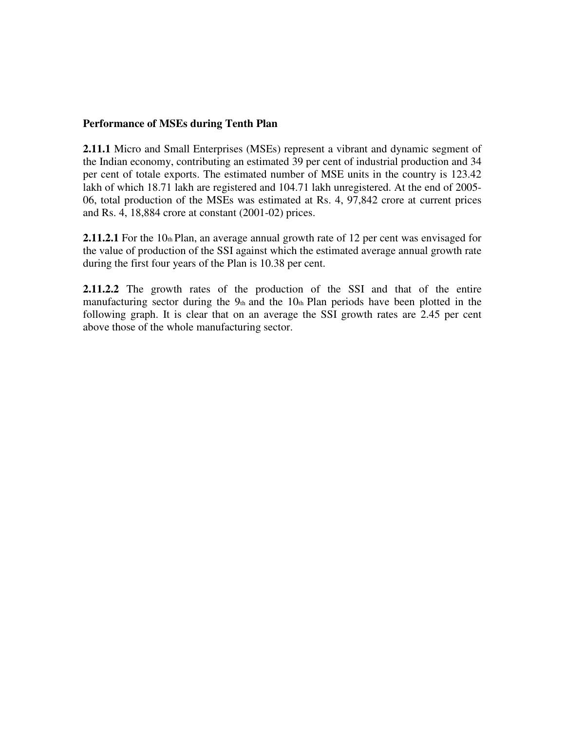#### **Performance of MSEs during Tenth Plan**

**2.11.1** Micro and Small Enterprises (MSEs) represent a vibrant and dynamic segment of the Indian economy, contributing an estimated 39 per cent of industrial production and 34 per cent of totale exports. The estimated number of MSE units in the country is 123.42 lakh of which 18.71 lakh are registered and 104.71 lakh unregistered. At the end of 2005- 06, total production of the MSEs was estimated at Rs. 4, 97,842 crore at current prices and Rs. 4, 18,884 crore at constant (2001-02) prices.

**2.11.2.1** For the 10th Plan, an average annual growth rate of 12 per cent was envisaged for the value of production of the SSI against which the estimated average annual growth rate during the first four years of the Plan is 10.38 per cent.

**2.11.2.2** The growth rates of the production of the SSI and that of the entire manufacturing sector during the  $9<sub>th</sub>$  and the  $10<sub>th</sub>$  Plan periods have been plotted in the following graph. It is clear that on an average the SSI growth rates are 2.45 per cent above those of the whole manufacturing sector.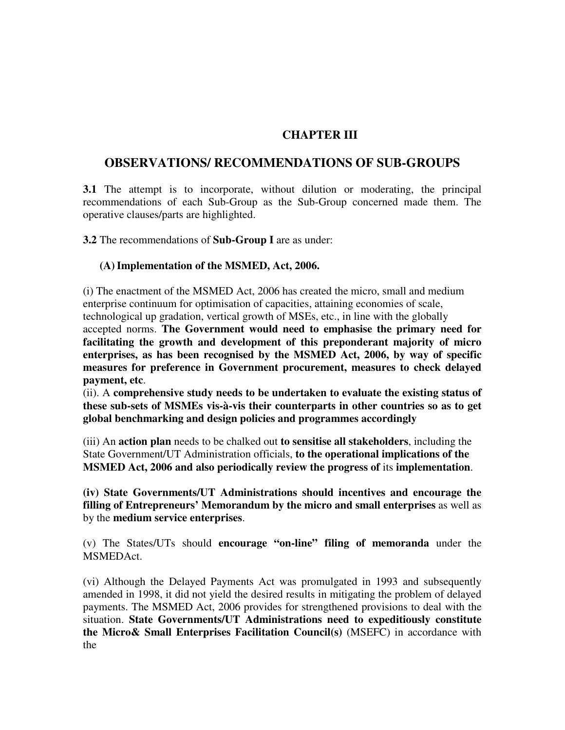# **CHAPTER III**

# **OBSERVATIONS/ RECOMMENDATIONS OF SUB-GROUPS**

**3.1** The attempt is to incorporate, without dilution or moderating, the principal recommendations of each Sub-Group as the Sub-Group concerned made them. The operative clauses/parts are highlighted.

**3.2** The recommendations of **Sub-Group I** are as under:

#### **(A)Implementation of the MSMED, Act, 2006.**

(i) The enactment of the MSMED Act, 2006 has created the micro, small and medium enterprise continuum for optimisation of capacities, attaining economies of scale, technological up gradation, vertical growth of MSEs, etc., in line with the globally

accepted norms. **The Government would need to emphasise the primary need for facilitating the growth and development of this preponderant majority of micro enterprises, as has been recognised by the MSMED Act, 2006, by way of specific measures for preference in Government procurement, measures to check delayed payment, etc**.

(ii). A **comprehensive study needs to be undertaken to evaluate the existing status of these sub-sets of MSMEs vis-à-vis their counterparts in other countries so as to get global benchmarking and design policies and programmes accordingly** 

(iii) An **action plan** needs to be chalked out **to sensitise all stakeholders**, including the State Government/UT Administration officials, **to the operational implications of the MSMED Act, 2006 and also periodically review the progress of** its **implementation**.

**(iv) State Governments/UT Administrations should incentives and encourage the filling of Entrepreneurs' Memorandum by the micro and small enterprises** as well as by the **medium service enterprises**.

(v) The States/UTs should **encourage "on-line" filing of memoranda** under the MSMEDAct.

(vi) Although the Delayed Payments Act was promulgated in 1993 and subsequently amended in 1998, it did not yield the desired results in mitigating the problem of delayed payments. The MSMED Act, 2006 provides for strengthened provisions to deal with the situation. **State Governments/UT Administrations need to expeditiously constitute the Micro& Small Enterprises Facilitation Council(s)** (MSEFC) in accordance with the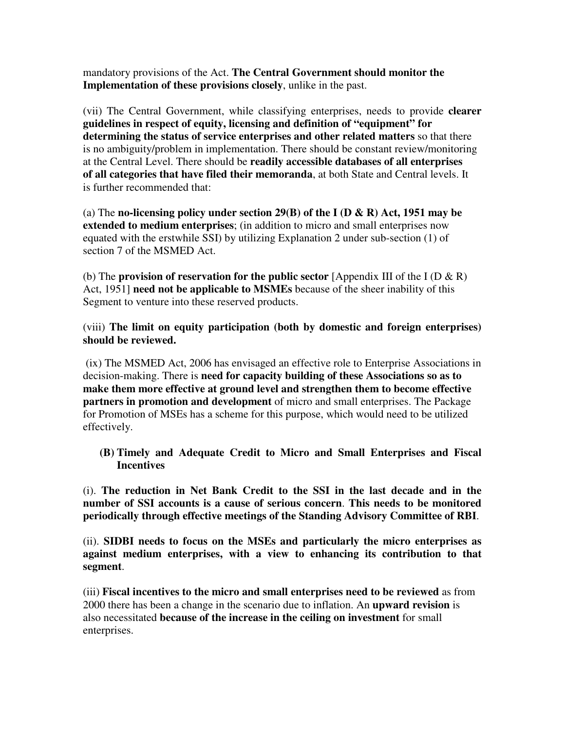mandatory provisions of the Act. **The Central Government should monitor the Implementation of these provisions closely**, unlike in the past.

(vii) The Central Government, while classifying enterprises, needs to provide **clearer guidelines in respect of equity, licensing and definition of "equipment" for determining the status of service enterprises and other related matters** so that there is no ambiguity/problem in implementation. There should be constant review/monitoring at the Central Level. There should be **readily accessible databases of all enterprises of all categories that have filed their memoranda**, at both State and Central levels. It is further recommended that:

(a) The **no-licensing policy under section 29(B) of the I (D & R) Act, 1951 may be extended to medium enterprises**; (in addition to micro and small enterprises now equated with the erstwhile SSI) by utilizing Explanation 2 under sub-section (1) of section 7 of the MSMED Act.

(b) The **provision of reservation for the public sector** [Appendix III of the I (D & R) Act, 1951] **need not be applicable to MSMEs** because of the sheer inability of this Segment to venture into these reserved products.

(viii) **The limit on equity participation (both by domestic and foreign enterprises) should be reviewed.** 

 (ix) The MSMED Act, 2006 has envisaged an effective role to Enterprise Associations in decision-making. There is **need for capacity building of these Associations so as to make them more effective at ground level and strengthen them to become effective partners in promotion and development** of micro and small enterprises. The Package for Promotion of MSEs has a scheme for this purpose, which would need to be utilized effectively.

**(B) Timely and Adequate Credit to Micro and Small Enterprises and Fiscal Incentives** 

(i). **The reduction in Net Bank Credit to the SSI in the last decade and in the number of SSI accounts is a cause of serious concern**. **This needs to be monitored periodically through effective meetings of the Standing Advisory Committee of RBI**.

(ii). **SIDBI needs to focus on the MSEs and particularly the micro enterprises as against medium enterprises, with a view to enhancing its contribution to that segment**.

(iii) **Fiscal incentives to the micro and small enterprises need to be reviewed** as from 2000 there has been a change in the scenario due to inflation. An **upward revision** is also necessitated **because of the increase in the ceiling on investment** for small enterprises.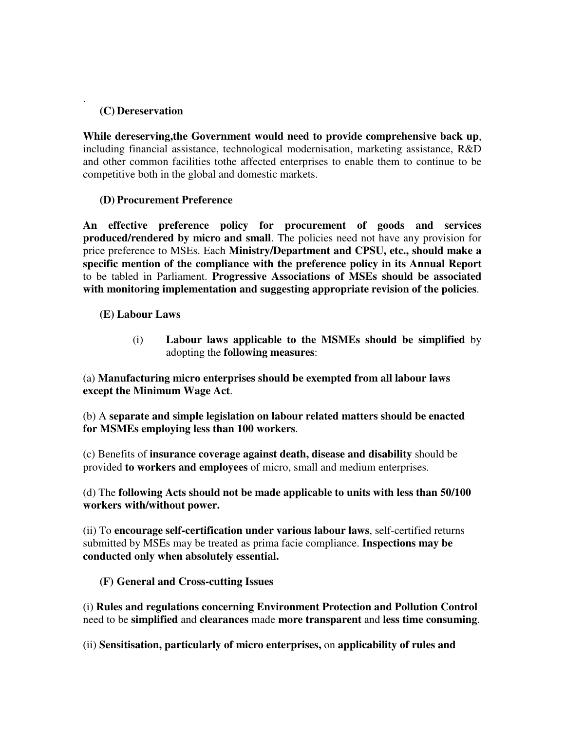## **(C) Dereservation**

.

**While dereserving,the Government would need to provide comprehensive back up**, including financial assistance, technological modernisation, marketing assistance, R&D and other common facilities tothe affected enterprises to enable them to continue to be competitive both in the global and domestic markets.

## **(D) Procurement Preference**

**An effective preference policy for procurement of goods and services produced/rendered by micro and small**. The policies need not have any provision for price preference to MSEs. Each **Ministry/Department and CPSU, etc., should make a specific mention of the compliance with the preference policy in its Annual Report**  to be tabled in Parliament. **Progressive Associations of MSEs should be associated with monitoring implementation and suggesting appropriate revision of the policies**.

# **(E) Labour Laws**

(i) **Labour laws applicable to the MSMEs should be simplified** by adopting the **following measures**:

(a) **Manufacturing micro enterprises should be exempted from all labour laws except the Minimum Wage Act**.

(b) A **separate and simple legislation on labour related matters should be enacted for MSMEs employing less than 100 workers**.

(c) Benefits of **insurance coverage against death, disease and disability** should be provided **to workers and employees** of micro, small and medium enterprises.

(d) The **following Acts should not be made applicable to units with less than 50/100 workers with/without power.** 

(ii) To **encourage self-certification under various labour laws**, self-certified returns submitted by MSEs may be treated as prima facie compliance. **Inspections may be conducted only when absolutely essential.** 

**(F) General and Cross-cutting Issues** 

(i) **Rules and regulations concerning Environment Protection and Pollution Control**  need to be **simplified** and **clearances** made **more transparent** and **less time consuming**.

(ii) **Sensitisation, particularly of micro enterprises,** on **applicability of rules and**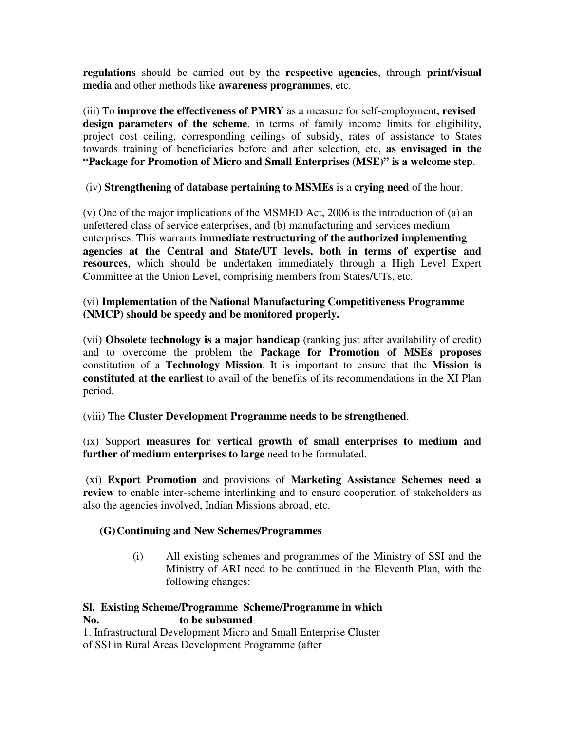**regulations** should be carried out by the **respective agencies**, through **print/visual media** and other methods like **awareness programmes**, etc.

(iii) To **improve the effectiveness of PMRY** as a measure for self-employment, **revised design parameters of the scheme**, in terms of family income limits for eligibility, project cost ceiling, corresponding ceilings of subsidy, rates of assistance to States towards training of beneficiaries before and after selection, etc, **as envisaged in the "Package for Promotion of Micro and Small Enterprises (MSE)" is a welcome step**.

(iv) **Strengthening of database pertaining to MSMEs** is a **crying need** of the hour.

(v) One of the major implications of the MSMED Act, 2006 is the introduction of (a) an unfettered class of service enterprises, and (b) manufacturing and services medium enterprises. This warrants **immediate restructuring of the authorized implementing agencies at the Central and State/UT levels, both in terms of expertise and resources**, which should be undertaken immediately through a High Level Expert Committee at the Union Level, comprising members from States/UTs, etc.

## (vi) **Implementation of the National Manufacturing Competitiveness Programme (NMCP) should be speedy and be monitored properly.**

(vii) **Obsolete technology is a major handicap** (ranking just after availability of credit) and to overcome the problem the **Package for Promotion of MSEs proposes**  constitution of a **Technology Mission**. It is important to ensure that the **Mission is constituted at the earliest** to avail of the benefits of its recommendations in the XI Plan period.

# (viii) The **Cluster Development Programme needs to be strengthened**.

(ix) Support **measures for vertical growth of small enterprises to medium and**  further of medium enterprises to large need to be formulated.

 (xi) **Export Promotion** and provisions of **Marketing Assistance Schemes need a review** to enable inter-scheme interlinking and to ensure cooperation of stakeholders as also the agencies involved, Indian Missions abroad, etc.

# **(G)Continuing and New Schemes/Programmes**

(i) All existing schemes and programmes of the Ministry of SSI and the Ministry of ARI need to be continued in the Eleventh Plan, with the following changes:

# **Sl. Existing Scheme/Programme Scheme/Programme in which No. to be subsumed**

1. Infrastructural Development Micro and Small Enterprise Cluster of SSI in Rural Areas Development Programme (after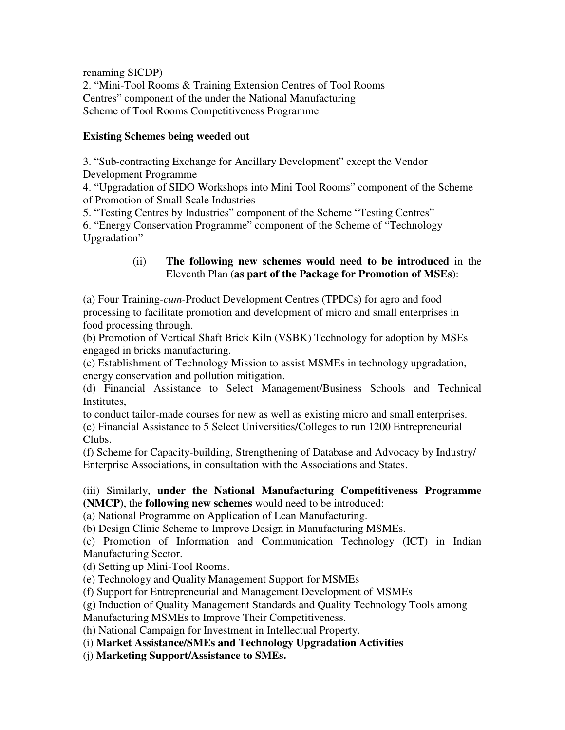renaming SICDP)

2. "Mini-Tool Rooms & Training Extension Centres of Tool Rooms Centres" component of the under the National Manufacturing Scheme of Tool Rooms Competitiveness Programme

#### **Existing Schemes being weeded out**

3. "Sub-contracting Exchange for Ancillary Development" except the Vendor Development Programme

4. "Upgradation of SIDO Workshops into Mini Tool Rooms" component of the Scheme of Promotion of Small Scale Industries

5. "Testing Centres by Industries" component of the Scheme "Testing Centres"

6. "Energy Conservation Programme" component of the Scheme of "Technology Upgradation"

## (ii) **The following new schemes would need to be introduced** in the Eleventh Plan (**as part of the Package for Promotion of MSEs**):

(a) Four Training-*cum*-Product Development Centres (TPDCs) for agro and food processing to facilitate promotion and development of micro and small enterprises in food processing through.

(b) Promotion of Vertical Shaft Brick Kiln (VSBK) Technology for adoption by MSEs engaged in bricks manufacturing.

(c) Establishment of Technology Mission to assist MSMEs in technology upgradation, energy conservation and pollution mitigation.

(d) Financial Assistance to Select Management/Business Schools and Technical Institutes,

to conduct tailor-made courses for new as well as existing micro and small enterprises.

(e) Financial Assistance to 5 Select Universities/Colleges to run 1200 Entrepreneurial Clubs.

(f) Scheme for Capacity-building, Strengthening of Database and Advocacy by Industry/ Enterprise Associations, in consultation with the Associations and States.

## (iii) Similarly, **under the National Manufacturing Competitiveness Programme (NMCP)**, the **following new schemes** would need to be introduced:

(a) National Programme on Application of Lean Manufacturing.

(b) Design Clinic Scheme to Improve Design in Manufacturing MSMEs.

(c) Promotion of Information and Communication Technology (ICT) in Indian Manufacturing Sector.

(d) Setting up Mini-Tool Rooms.

(e) Technology and Quality Management Support for MSMEs

(f) Support for Entrepreneurial and Management Development of MSMEs

(g) Induction of Quality Management Standards and Quality Technology Tools among

Manufacturing MSMEs to Improve Their Competitiveness.

(h) National Campaign for Investment in Intellectual Property.

(i) **Market Assistance/SMEs and Technology Upgradation Activities** 

(j) **Marketing Support/Assistance to SMEs.**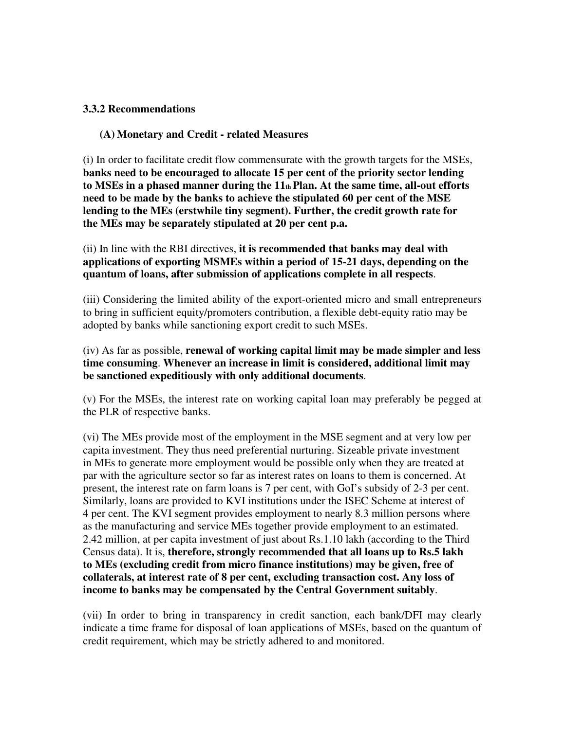#### **3.3.2 Recommendations**

#### **(A) Monetary and Credit - related Measures**

(i) In order to facilitate credit flow commensurate with the growth targets for the MSEs, **banks need to be encouraged to allocate 15 per cent of the priority sector lending to MSEs in a phased manner during the 11th Plan. At the same time, all-out efforts need to be made by the banks to achieve the stipulated 60 per cent of the MSE lending to the MEs (erstwhile tiny segment). Further, the credit growth rate for the MEs may be separately stipulated at 20 per cent p.a.** 

(ii) In line with the RBI directives, **it is recommended that banks may deal with applications of exporting MSMEs within a period of 15-21 days, depending on the quantum of loans, after submission of applications complete in all respects**.

(iii) Considering the limited ability of the export-oriented micro and small entrepreneurs to bring in sufficient equity/promoters contribution, a flexible debt-equity ratio may be adopted by banks while sanctioning export credit to such MSEs.

#### (iv) As far as possible, **renewal of working capital limit may be made simpler and less time consuming**. **Whenever an increase in limit is considered, additional limit may be sanctioned expeditiously with only additional documents**.

(v) For the MSEs, the interest rate on working capital loan may preferably be pegged at the PLR of respective banks.

(vi) The MEs provide most of the employment in the MSE segment and at very low per capita investment. They thus need preferential nurturing. Sizeable private investment in MEs to generate more employment would be possible only when they are treated at par with the agriculture sector so far as interest rates on loans to them is concerned. At present, the interest rate on farm loans is 7 per cent, with GoI's subsidy of 2-3 per cent. Similarly, loans are provided to KVI institutions under the ISEC Scheme at interest of 4 per cent. The KVI segment provides employment to nearly 8.3 million persons where as the manufacturing and service MEs together provide employment to an estimated. 2.42 million, at per capita investment of just about Rs.1.10 lakh (according to the Third Census data). It is, **therefore, strongly recommended that all loans up to Rs.5 lakh to MEs (excluding credit from micro finance institutions) may be given, free of collaterals, at interest rate of 8 per cent, excluding transaction cost. Any loss of income to banks may be compensated by the Central Government suitably**.

(vii) In order to bring in transparency in credit sanction, each bank/DFI may clearly indicate a time frame for disposal of loan applications of MSEs, based on the quantum of credit requirement, which may be strictly adhered to and monitored.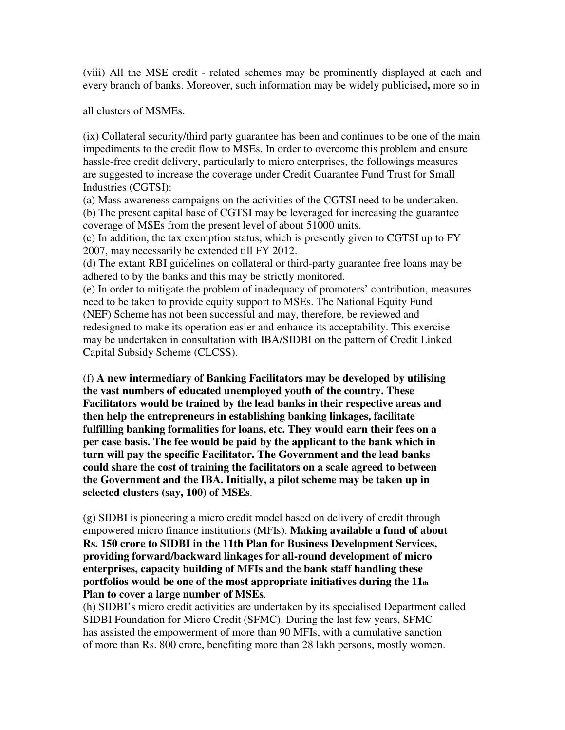(viii) All the MSE credit - related schemes may be prominently displayed at each and every branch of banks. Moreover, such information may be widely publicised**,** more so in

all clusters of MSMEs.

(ix) Collateral security/third party guarantee has been and continues to be one of the main impediments to the credit flow to MSEs. In order to overcome this problem and ensure hassle-free credit delivery, particularly to micro enterprises, the followings measures are suggested to increase the coverage under Credit Guarantee Fund Trust for Small Industries (CGTSI):

(a) Mass awareness campaigns on the activities of the CGTSI need to be undertaken. (b) The present capital base of CGTSI may be leveraged for increasing the guarantee coverage of MSEs from the present level of about 51000 units.

(c) In addition, the tax exemption status, which is presently given to CGTSI up to FY 2007, may necessarily be extended till FY 2012.

(d) The extant RBI guidelines on collateral or third-party guarantee free loans may be adhered to by the banks and this may be strictly monitored.

(e) In order to mitigate the problem of inadequacy of promoters' contribution, measures need to be taken to provide equity support to MSEs. The National Equity Fund (NEF) Scheme has not been successful and may, therefore, be reviewed and redesigned to make its operation easier and enhance its acceptability. This exercise may be undertaken in consultation with IBA/SIDBI on the pattern of Credit Linked Capital Subsidy Scheme (CLCSS).

(f) **A new intermediary of Banking Facilitators may be developed by utilising the vast numbers of educated unemployed youth of the country. These Facilitators would be trained by the lead banks in their respective areas and then help the entrepreneurs in establishing banking linkages, facilitate fulfilling banking formalities for loans, etc. They would earn their fees on a per case basis. The fee would be paid by the applicant to the bank which in turn will pay the specific Facilitator. The Government and the lead banks could share the cost of training the facilitators on a scale agreed to between the Government and the IBA. Initially, a pilot scheme may be taken up in selected clusters (say, 100) of MSEs**.

(g) SIDBI is pioneering a micro credit model based on delivery of credit through empowered micro finance institutions (MFIs). **Making available a fund of about Rs. 150 crore to SIDBI in the 11th Plan for Business Development Services, providing forward/backward linkages for all-round development of micro enterprises, capacity building of MFIs and the bank staff handling these portfolios would be one of the most appropriate initiatives during the 11th Plan to cover a large number of MSEs**.

(h) SIDBI's micro credit activities are undertaken by its specialised Department called SIDBI Foundation for Micro Credit (SFMC). During the last few years, SFMC has assisted the empowerment of more than 90 MFIs, with a cumulative sanction of more than Rs. 800 crore, benefiting more than 28 lakh persons, mostly women.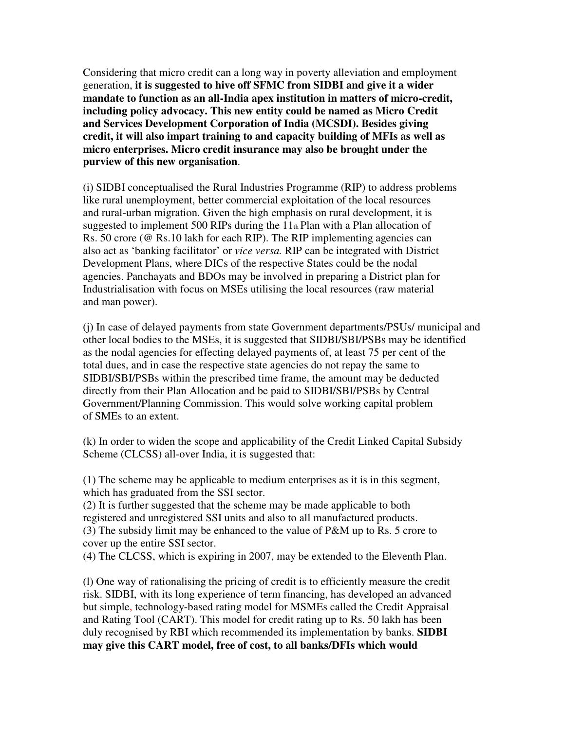Considering that micro credit can a long way in poverty alleviation and employment generation, **it is suggested to hive off SFMC from SIDBI and give it a wider mandate to function as an all-India apex institution in matters of micro-credit, including policy advocacy. This new entity could be named as Micro Credit and Services Development Corporation of India (MCSDI). Besides giving credit, it will also impart training to and capacity building of MFIs as well as micro enterprises. Micro credit insurance may also be brought under the purview of this new organisation**.

(i) SIDBI conceptualised the Rural Industries Programme (RIP) to address problems like rural unemployment, better commercial exploitation of the local resources and rural-urban migration. Given the high emphasis on rural development, it is suggested to implement 500 RIPs during the  $11<sub>th</sub>$  Plan with a Plan allocation of Rs. 50 crore (@ Rs.10 lakh for each RIP). The RIP implementing agencies can also act as 'banking facilitator' or *vice versa.* RIP can be integrated with District Development Plans, where DICs of the respective States could be the nodal agencies. Panchayats and BDOs may be involved in preparing a District plan for Industrialisation with focus on MSEs utilising the local resources (raw material and man power).

(j) In case of delayed payments from state Government departments/PSUs/ municipal and other local bodies to the MSEs, it is suggested that SIDBI/SBI/PSBs may be identified as the nodal agencies for effecting delayed payments of, at least 75 per cent of the total dues, and in case the respective state agencies do not repay the same to SIDBI/SBI/PSBs within the prescribed time frame, the amount may be deducted directly from their Plan Allocation and be paid to SIDBI/SBI/PSBs by Central Government/Planning Commission. This would solve working capital problem of SMEs to an extent.

(k) In order to widen the scope and applicability of the Credit Linked Capital Subsidy Scheme (CLCSS) all-over India, it is suggested that:

(1) The scheme may be applicable to medium enterprises as it is in this segment, which has graduated from the SSI sector.

(2) It is further suggested that the scheme may be made applicable to both registered and unregistered SSI units and also to all manufactured products.

(3) The subsidy limit may be enhanced to the value of P&M up to Rs. 5 crore to cover up the entire SSI sector.

(4) The CLCSS, which is expiring in 2007, may be extended to the Eleventh Plan.

(l) One way of rationalising the pricing of credit is to efficiently measure the credit risk. SIDBI, with its long experience of term financing, has developed an advanced but simple, technology-based rating model for MSMEs called the Credit Appraisal and Rating Tool (CART). This model for credit rating up to Rs. 50 lakh has been duly recognised by RBI which recommended its implementation by banks. **SIDBI may give this CART model, free of cost, to all banks/DFIs which would**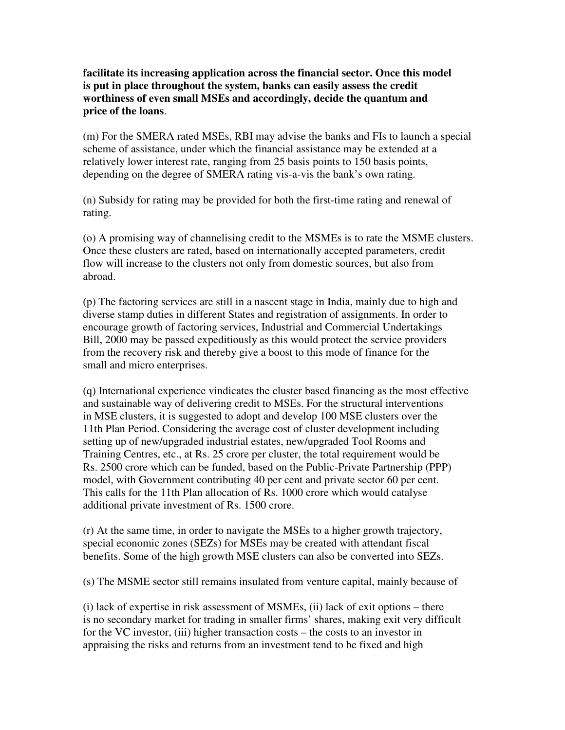**facilitate its increasing application across the financial sector. Once this model is put in place throughout the system, banks can easily assess the credit worthiness of even small MSEs and accordingly, decide the quantum and price of the loans**.

(m) For the SMERA rated MSEs, RBI may advise the banks and FIs to launch a special scheme of assistance, under which the financial assistance may be extended at a relatively lower interest rate, ranging from 25 basis points to 150 basis points, depending on the degree of SMERA rating vis-a-vis the bank's own rating.

(n) Subsidy for rating may be provided for both the first-time rating and renewal of rating.

(o) A promising way of channelising credit to the MSMEs is to rate the MSME clusters. Once these clusters are rated, based on internationally accepted parameters, credit flow will increase to the clusters not only from domestic sources, but also from abroad.

(p) The factoring services are still in a nascent stage in India, mainly due to high and diverse stamp duties in different States and registration of assignments. In order to encourage growth of factoring services, Industrial and Commercial Undertakings Bill, 2000 may be passed expeditiously as this would protect the service providers from the recovery risk and thereby give a boost to this mode of finance for the small and micro enterprises.

(q) International experience vindicates the cluster based financing as the most effective and sustainable way of delivering credit to MSEs. For the structural interventions in MSE clusters, it is suggested to adopt and develop 100 MSE clusters over the 11th Plan Period. Considering the average cost of cluster development including setting up of new/upgraded industrial estates, new/upgraded Tool Rooms and Training Centres, etc., at Rs. 25 crore per cluster, the total requirement would be Rs. 2500 crore which can be funded, based on the Public-Private Partnership (PPP) model, with Government contributing 40 per cent and private sector 60 per cent. This calls for the 11th Plan allocation of Rs. 1000 crore which would catalyse additional private investment of Rs. 1500 crore.

(r) At the same time, in order to navigate the MSEs to a higher growth trajectory, special economic zones (SEZs) for MSEs may be created with attendant fiscal benefits. Some of the high growth MSE clusters can also be converted into SEZs.

(s) The MSME sector still remains insulated from venture capital, mainly because of

(i) lack of expertise in risk assessment of MSMEs, (ii) lack of exit options – there is no secondary market for trading in smaller firms' shares, making exit very difficult for the VC investor, (iii) higher transaction costs – the costs to an investor in appraising the risks and returns from an investment tend to be fixed and high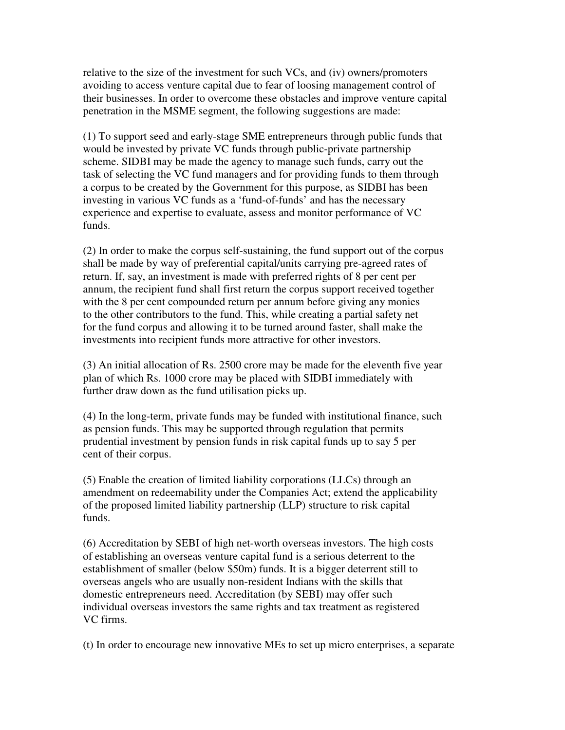relative to the size of the investment for such VCs, and (iv) owners/promoters avoiding to access venture capital due to fear of loosing management control of their businesses. In order to overcome these obstacles and improve venture capital penetration in the MSME segment, the following suggestions are made:

(1) To support seed and early-stage SME entrepreneurs through public funds that would be invested by private VC funds through public-private partnership scheme. SIDBI may be made the agency to manage such funds, carry out the task of selecting the VC fund managers and for providing funds to them through a corpus to be created by the Government for this purpose, as SIDBI has been investing in various VC funds as a 'fund-of-funds' and has the necessary experience and expertise to evaluate, assess and monitor performance of VC funds.

(2) In order to make the corpus self-sustaining, the fund support out of the corpus shall be made by way of preferential capital/units carrying pre-agreed rates of return. If, say, an investment is made with preferred rights of 8 per cent per annum, the recipient fund shall first return the corpus support received together with the 8 per cent compounded return per annum before giving any monies to the other contributors to the fund. This, while creating a partial safety net for the fund corpus and allowing it to be turned around faster, shall make the investments into recipient funds more attractive for other investors.

(3) An initial allocation of Rs. 2500 crore may be made for the eleventh five year plan of which Rs. 1000 crore may be placed with SIDBI immediately with further draw down as the fund utilisation picks up.

(4) In the long-term, private funds may be funded with institutional finance, such as pension funds. This may be supported through regulation that permits prudential investment by pension funds in risk capital funds up to say 5 per cent of their corpus.

(5) Enable the creation of limited liability corporations (LLCs) through an amendment on redeemability under the Companies Act; extend the applicability of the proposed limited liability partnership (LLP) structure to risk capital funds.

(6) Accreditation by SEBI of high net-worth overseas investors. The high costs of establishing an overseas venture capital fund is a serious deterrent to the establishment of smaller (below \$50m) funds. It is a bigger deterrent still to overseas angels who are usually non-resident Indians with the skills that domestic entrepreneurs need. Accreditation (by SEBI) may offer such individual overseas investors the same rights and tax treatment as registered VC firms.

(t) In order to encourage new innovative MEs to set up micro enterprises, a separate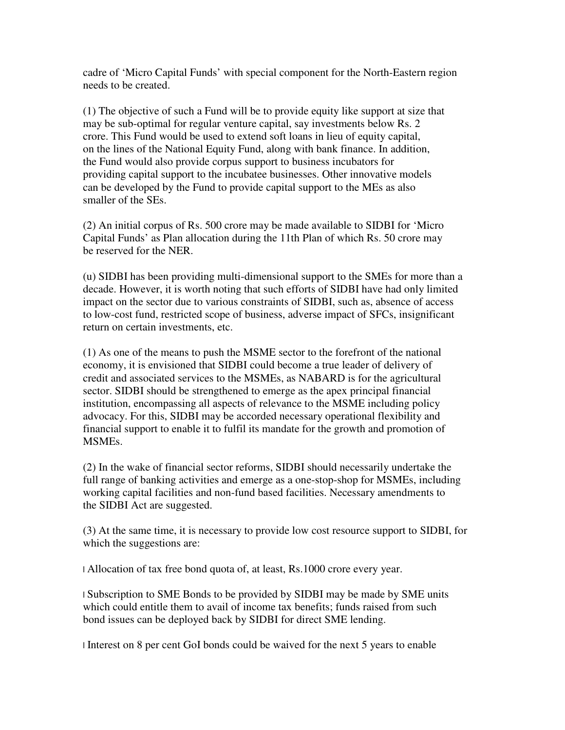cadre of 'Micro Capital Funds' with special component for the North-Eastern region needs to be created.

(1) The objective of such a Fund will be to provide equity like support at size that may be sub-optimal for regular venture capital, say investments below Rs. 2 crore. This Fund would be used to extend soft loans in lieu of equity capital, on the lines of the National Equity Fund, along with bank finance. In addition, the Fund would also provide corpus support to business incubators for providing capital support to the incubatee businesses. Other innovative models can be developed by the Fund to provide capital support to the MEs as also smaller of the SEs.

(2) An initial corpus of Rs. 500 crore may be made available to SIDBI for 'Micro Capital Funds' as Plan allocation during the 11th Plan of which Rs. 50 crore may be reserved for the NER.

(u) SIDBI has been providing multi-dimensional support to the SMEs for more than a decade. However, it is worth noting that such efforts of SIDBI have had only limited impact on the sector due to various constraints of SIDBI, such as, absence of access to low-cost fund, restricted scope of business, adverse impact of SFCs, insignificant return on certain investments, etc.

(1) As one of the means to push the MSME sector to the forefront of the national economy, it is envisioned that SIDBI could become a true leader of delivery of credit and associated services to the MSMEs, as NABARD is for the agricultural sector. SIDBI should be strengthened to emerge as the apex principal financial institution, encompassing all aspects of relevance to the MSME including policy advocacy. For this, SIDBI may be accorded necessary operational flexibility and financial support to enable it to fulfil its mandate for the growth and promotion of MSMEs.

(2) In the wake of financial sector reforms, SIDBI should necessarily undertake the full range of banking activities and emerge as a one-stop-shop for MSMEs, including working capital facilities and non-fund based facilities. Necessary amendments to the SIDBI Act are suggested.

(3) At the same time, it is necessary to provide low cost resource support to SIDBI, for which the suggestions are:

l Allocation of tax free bond quota of, at least, Rs.1000 crore every year.

l Subscription to SME Bonds to be provided by SIDBI may be made by SME units which could entitle them to avail of income tax benefits; funds raised from such bond issues can be deployed back by SIDBI for direct SME lending.

l Interest on 8 per cent GoI bonds could be waived for the next 5 years to enable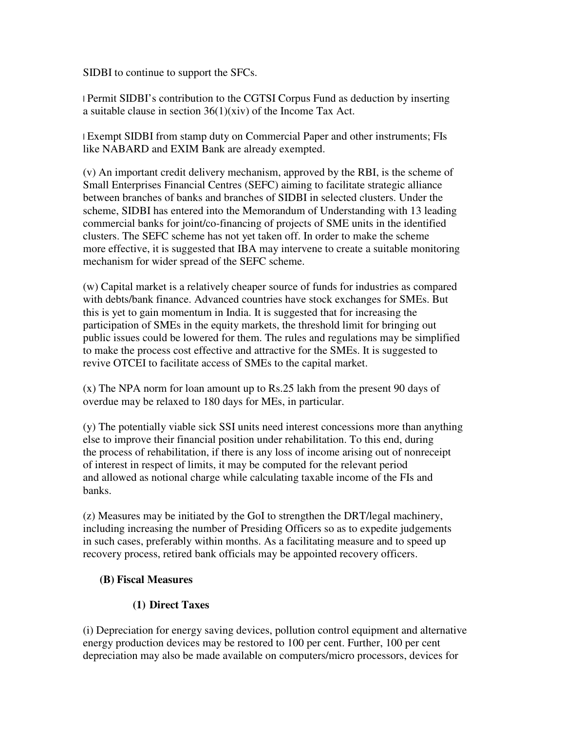SIDBI to continue to support the SFCs.

l Permit SIDBI's contribution to the CGTSI Corpus Fund as deduction by inserting a suitable clause in section 36(1)(xiv) of the Income Tax Act.

l Exempt SIDBI from stamp duty on Commercial Paper and other instruments; FIs like NABARD and EXIM Bank are already exempted.

(v) An important credit delivery mechanism, approved by the RBI, is the scheme of Small Enterprises Financial Centres (SEFC) aiming to facilitate strategic alliance between branches of banks and branches of SIDBI in selected clusters. Under the scheme, SIDBI has entered into the Memorandum of Understanding with 13 leading commercial banks for joint/co-financing of projects of SME units in the identified clusters. The SEFC scheme has not yet taken off. In order to make the scheme more effective, it is suggested that IBA may intervene to create a suitable monitoring mechanism for wider spread of the SEFC scheme.

(w) Capital market is a relatively cheaper source of funds for industries as compared with debts/bank finance. Advanced countries have stock exchanges for SMEs. But this is yet to gain momentum in India. It is suggested that for increasing the participation of SMEs in the equity markets, the threshold limit for bringing out public issues could be lowered for them. The rules and regulations may be simplified to make the process cost effective and attractive for the SMEs. It is suggested to revive OTCEI to facilitate access of SMEs to the capital market.

(x) The NPA norm for loan amount up to Rs.25 lakh from the present 90 days of overdue may be relaxed to 180 days for MEs, in particular.

(y) The potentially viable sick SSI units need interest concessions more than anything else to improve their financial position under rehabilitation. To this end, during the process of rehabilitation, if there is any loss of income arising out of nonreceipt of interest in respect of limits, it may be computed for the relevant period and allowed as notional charge while calculating taxable income of the FIs and banks.

(z) Measures may be initiated by the GoI to strengthen the DRT/legal machinery, including increasing the number of Presiding Officers so as to expedite judgements in such cases, preferably within months. As a facilitating measure and to speed up recovery process, retired bank officials may be appointed recovery officers.

## **(B) Fiscal Measures**

## **(1) Direct Taxes**

(i) Depreciation for energy saving devices, pollution control equipment and alternative energy production devices may be restored to 100 per cent. Further, 100 per cent depreciation may also be made available on computers/micro processors, devices for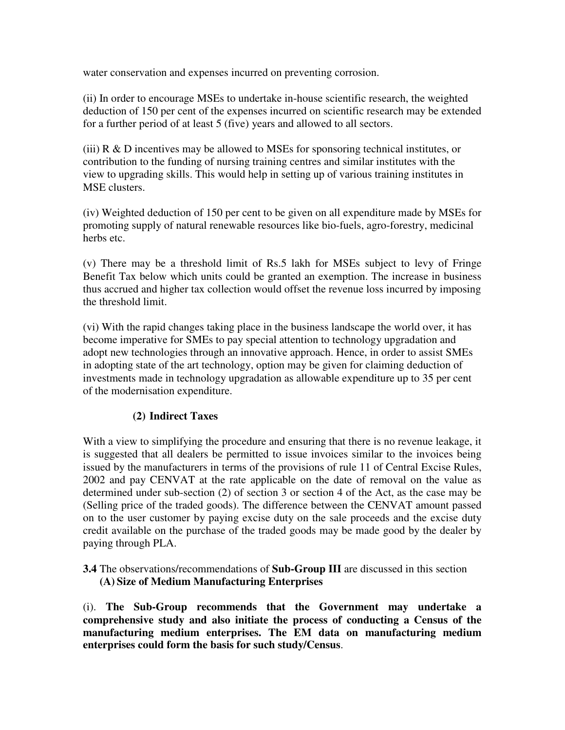water conservation and expenses incurred on preventing corrosion.

(ii) In order to encourage MSEs to undertake in-house scientific research, the weighted deduction of 150 per cent of the expenses incurred on scientific research may be extended for a further period of at least 5 (five) years and allowed to all sectors.

(iii) R & D incentives may be allowed to MSEs for sponsoring technical institutes, or contribution to the funding of nursing training centres and similar institutes with the view to upgrading skills. This would help in setting up of various training institutes in MSE clusters.

(iv) Weighted deduction of 150 per cent to be given on all expenditure made by MSEs for promoting supply of natural renewable resources like bio-fuels, agro-forestry, medicinal herbs etc.

(v) There may be a threshold limit of Rs.5 lakh for MSEs subject to levy of Fringe Benefit Tax below which units could be granted an exemption. The increase in business thus accrued and higher tax collection would offset the revenue loss incurred by imposing the threshold limit.

(vi) With the rapid changes taking place in the business landscape the world over, it has become imperative for SMEs to pay special attention to technology upgradation and adopt new technologies through an innovative approach. Hence, in order to assist SMEs in adopting state of the art technology, option may be given for claiming deduction of investments made in technology upgradation as allowable expenditure up to 35 per cent of the modernisation expenditure.

## **(2) Indirect Taxes**

With a view to simplifying the procedure and ensuring that there is no revenue leakage, it is suggested that all dealers be permitted to issue invoices similar to the invoices being issued by the manufacturers in terms of the provisions of rule 11 of Central Excise Rules, 2002 and pay CENVAT at the rate applicable on the date of removal on the value as determined under sub-section (2) of section 3 or section 4 of the Act, as the case may be (Selling price of the traded goods). The difference between the CENVAT amount passed on to the user customer by paying excise duty on the sale proceeds and the excise duty credit available on the purchase of the traded goods may be made good by the dealer by paying through PLA.

**3.4** The observations/recommendations of **Sub-Group III** are discussed in this section **(A) Size of Medium Manufacturing Enterprises** 

(i). **The Sub-Group recommends that the Government may undertake a comprehensive study and also initiate the process of conducting a Census of the manufacturing medium enterprises. The EM data on manufacturing medium enterprises could form the basis for such study/Census**.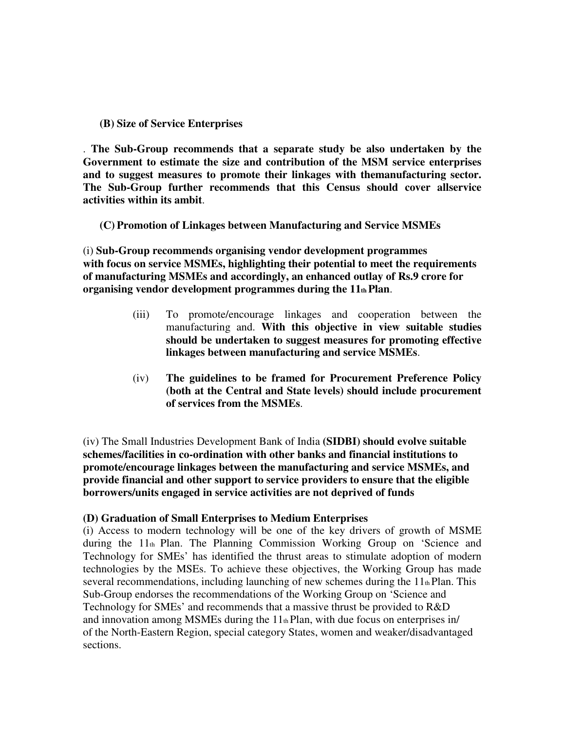#### **(B) Size of Service Enterprises**

. **The Sub-Group recommends that a separate study be also undertaken by the Government to estimate the size and contribution of the MSM service enterprises and to suggest measures to promote their linkages with themanufacturing sector. The Sub-Group further recommends that this Census should cover allservice activities within its ambit**.

**(C) Promotion of Linkages between Manufacturing and Service MSMEs** 

(i) **Sub-Group recommends organising vendor development programmes with focus on service MSMEs, highlighting their potential to meet the requirements of manufacturing MSMEs and accordingly, an enhanced outlay of Rs.9 crore for organising vendor development programmes during the 11th Plan**.

- (iii) To promote/encourage linkages and cooperation between the manufacturing and. **With this objective in view suitable studies should be undertaken to suggest measures for promoting effective linkages between manufacturing and service MSMEs**.
- (iv) **The guidelines to be framed for Procurement Preference Policy (both at the Central and State levels) should include procurement of services from the MSMEs**.

(iv) The Small Industries Development Bank of India **(SIDBI) should evolve suitable schemes/facilities in co-ordination with other banks and financial institutions to promote/encourage linkages between the manufacturing and service MSMEs, and provide financial and other support to service providers to ensure that the eligible borrowers/units engaged in service activities are not deprived of funds** 

#### **(D) Graduation of Small Enterprises to Medium Enterprises**

(i) Access to modern technology will be one of the key drivers of growth of MSME during the 11th Plan. The Planning Commission Working Group on 'Science and Technology for SMEs' has identified the thrust areas to stimulate adoption of modern technologies by the MSEs. To achieve these objectives, the Working Group has made several recommendations, including launching of new schemes during the  $11<sub>th</sub>$  Plan. This Sub-Group endorses the recommendations of the Working Group on 'Science and Technology for SMEs' and recommends that a massive thrust be provided to R&D and innovation among MSMEs during the  $11<sub>th</sub>$  Plan, with due focus on enterprises in/ of the North-Eastern Region, special category States, women and weaker/disadvantaged sections.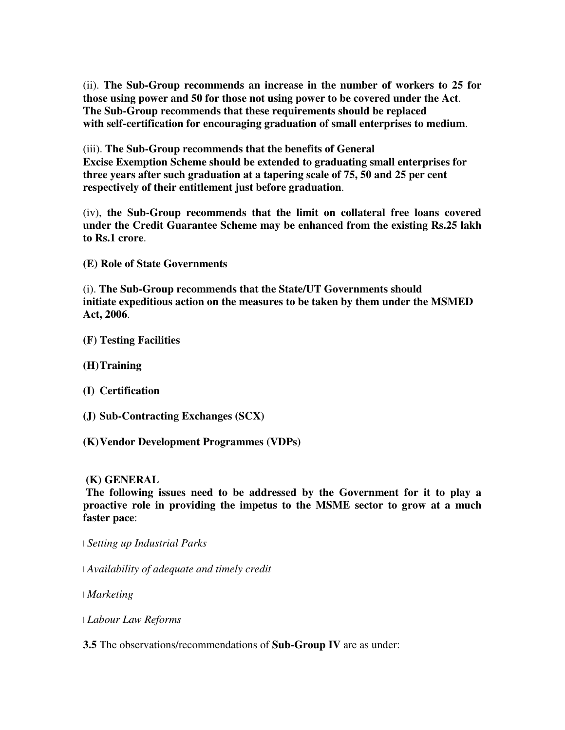(ii). **The Sub-Group recommends an increase in the number of workers to 25 for those using power and 50 for those not using power to be covered under the Act**. **The Sub-Group recommends that these requirements should be replaced with self-certification for encouraging graduation of small enterprises to medium**.

(iii). **The Sub-Group recommends that the benefits of General Excise Exemption Scheme should be extended to graduating small enterprises for three years after such graduation at a tapering scale of 75, 50 and 25 per cent respectively of their entitlement just before graduation**.

(iv), **the Sub-Group recommends that the limit on collateral free loans covered under the Credit Guarantee Scheme may be enhanced from the existing Rs.25 lakh to Rs.1 crore**.

**(E) Role of State Governments** 

(i). **The Sub-Group recommends that the State/UT Governments should initiate expeditious action on the measures to be taken by them under the MSMED Act, 2006**.

- **(F) Testing Facilities**
- **(H)Training**
- **(I) Certification**
- **(J) Sub-Contracting Exchanges (SCX)**
- **(K)Vendor Development Programmes (VDPs)**

#### **(K) GENERAL**

**The following issues need to be addressed by the Government for it to play a proactive role in providing the impetus to the MSME sector to grow at a much faster pace**:

- l *Setting up Industrial Parks*
- l *Availability of adequate and timely credit*
- l *Marketing*
- l *Labour Law Reforms*

**3.5** The observations/recommendations of **Sub-Group IV** are as under: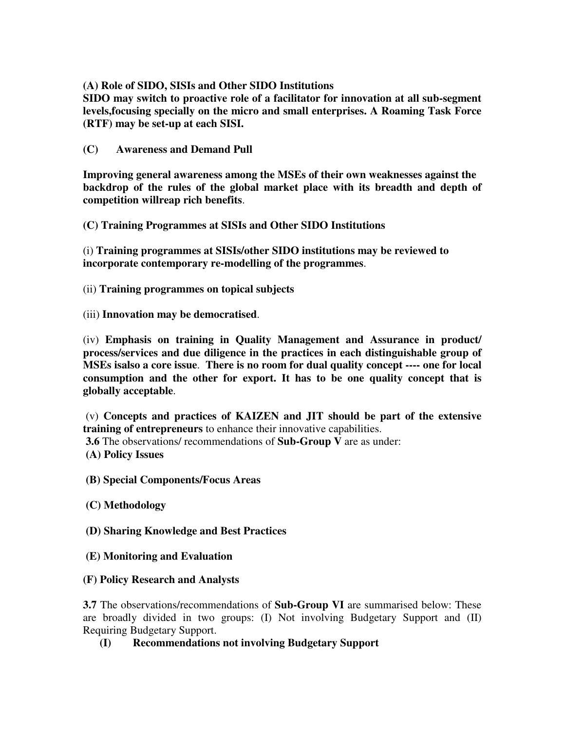## **(A) Role of SIDO, SISIs and Other SIDO Institutions**

**SIDO may switch to proactive role of a facilitator for innovation at all sub-segment levels,focusing specially on the micro and small enterprises. A Roaming Task Force (RTF) may be set-up at each SISI.** 

**(C) Awareness and Demand Pull** 

**Improving general awareness among the MSEs of their own weaknesses against the backdrop of the rules of the global market place with its breadth and depth of competition willreap rich benefits**.

**(C) Training Programmes at SISIs and Other SIDO Institutions** 

(i) **Training programmes at SISIs/other SIDO institutions may be reviewed to incorporate contemporary re-modelling of the programmes**.

(ii) **Training programmes on topical subjects** 

(iii) **Innovation may be democratised**.

(iv) **Emphasis on training in Quality Management and Assurance in product/ process/services and due diligence in the practices in each distinguishable group of MSEs isalso a core issue**. **There is no room for dual quality concept ---- one for local consumption and the other for export. It has to be one quality concept that is globally acceptable**.

 (v) **Concepts and practices of KAIZEN and JIT should be part of the extensive training of entrepreneurs** to enhance their innovative capabilities.

 **3.6** The observations/ recommendations of **Sub-Group V** are as under:

 **(A) Policy Issues** 

 **(B) Special Components/Focus Areas** 

 **(C) Methodology** 

 **(D) Sharing Knowledge and Best Practices** 

 **(E) Monitoring and Evaluation** 

## **(F) Policy Research and Analysts**

**3.7** The observations/recommendations of **Sub-Group VI** are summarised below: These are broadly divided in two groups: (I) Not involving Budgetary Support and (II) Requiring Budgetary Support.

## **(I) Recommendations not involving Budgetary Support**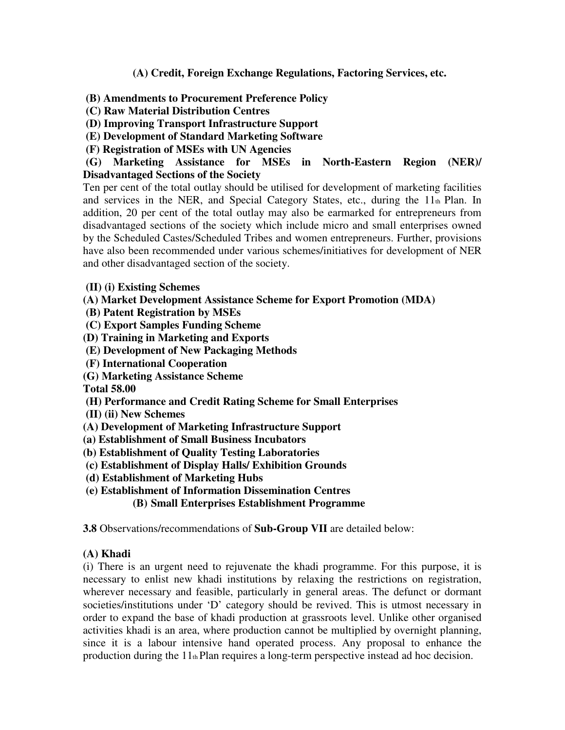## **(A) Credit, Foreign Exchange Regulations, Factoring Services, etc.**

#### **(B) Amendments to Procurement Preference Policy**

 **(C) Raw Material Distribution Centres** 

 **(D) Improving Transport Infrastructure Support** 

**(E) Development of Standard Marketing Software** 

 **(F) Registration of MSEs with UN Agencies** 

## **(G) Marketing Assistance for MSEs in North-Eastern Region (NER)/ Disadvantaged Sections of the Society**

Ten per cent of the total outlay should be utilised for development of marketing facilities and services in the NER, and Special Category States, etc., during the 11th Plan. In addition, 20 per cent of the total outlay may also be earmarked for entrepreneurs from disadvantaged sections of the society which include micro and small enterprises owned by the Scheduled Castes/Scheduled Tribes and women entrepreneurs. Further, provisions have also been recommended under various schemes/initiatives for development of NER and other disadvantaged section of the society.

- **(II) (i) Existing Schemes**
- **(A) Market Development Assistance Scheme for Export Promotion (MDA)**
- **(B) Patent Registration by MSEs**
- **(C) Export Samples Funding Scheme**
- **(D) Training in Marketing and Exports**
- **(E) Development of New Packaging Methods**
- **(F) International Cooperation**
- **(G) Marketing Assistance Scheme**

**Total 58.00** 

- **(H) Performance and Credit Rating Scheme for Small Enterprises**
- **(II) (ii) New Schemes**
- **(A) Development of Marketing Infrastructure Support**
- **(a) Establishment of Small Business Incubators**
- **(b) Establishment of Quality Testing Laboratories**
- **(c) Establishment of Display Halls/ Exhibition Grounds**
- **(d) Establishment of Marketing Hubs**
- **(e) Establishment of Information Dissemination Centres**

**(B) Small Enterprises Establishment Programme** 

**3.8** Observations/recommendations of **Sub-Group VII** are detailed below:

## **(A) Khadi**

(i) There is an urgent need to rejuvenate the khadi programme. For this purpose, it is necessary to enlist new khadi institutions by relaxing the restrictions on registration, wherever necessary and feasible, particularly in general areas. The defunct or dormant societies/institutions under 'D' category should be revived. This is utmost necessary in order to expand the base of khadi production at grassroots level. Unlike other organised activities khadi is an area, where production cannot be multiplied by overnight planning, since it is a labour intensive hand operated process. Any proposal to enhance the production during the  $11<sub>th</sub>$  Plan requires a long-term perspective instead ad hoc decision.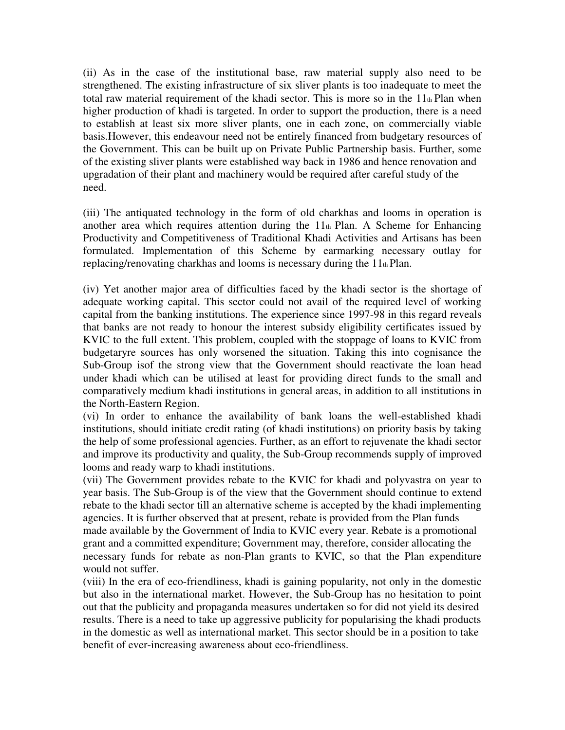(ii) As in the case of the institutional base, raw material supply also need to be strengthened. The existing infrastructure of six sliver plants is too inadequate to meet the total raw material requirement of the khadi sector. This is more so in the 11th Plan when higher production of khadi is targeted. In order to support the production, there is a need to establish at least six more sliver plants, one in each zone, on commercially viable basis.However, this endeavour need not be entirely financed from budgetary resources of the Government. This can be built up on Private Public Partnership basis. Further, some of the existing sliver plants were established way back in 1986 and hence renovation and upgradation of their plant and machinery would be required after careful study of the need.

(iii) The antiquated technology in the form of old charkhas and looms in operation is another area which requires attention during the  $11<sub>th</sub>$  Plan. A Scheme for Enhancing Productivity and Competitiveness of Traditional Khadi Activities and Artisans has been formulated. Implementation of this Scheme by earmarking necessary outlay for replacing/renovating charkhas and looms is necessary during the  $11<sub>th</sub>$  Plan.

(iv) Yet another major area of difficulties faced by the khadi sector is the shortage of adequate working capital. This sector could not avail of the required level of working capital from the banking institutions. The experience since 1997-98 in this regard reveals that banks are not ready to honour the interest subsidy eligibility certificates issued by KVIC to the full extent. This problem, coupled with the stoppage of loans to KVIC from budgetaryre sources has only worsened the situation. Taking this into cognisance the Sub-Group isof the strong view that the Government should reactivate the loan head under khadi which can be utilised at least for providing direct funds to the small and comparatively medium khadi institutions in general areas, in addition to all institutions in the North-Eastern Region.

(vi) In order to enhance the availability of bank loans the well-established khadi institutions, should initiate credit rating (of khadi institutions) on priority basis by taking the help of some professional agencies. Further, as an effort to rejuvenate the khadi sector and improve its productivity and quality, the Sub-Group recommends supply of improved looms and ready warp to khadi institutions.

(vii) The Government provides rebate to the KVIC for khadi and polyvastra on year to year basis. The Sub-Group is of the view that the Government should continue to extend rebate to the khadi sector till an alternative scheme is accepted by the khadi implementing agencies. It is further observed that at present, rebate is provided from the Plan funds made available by the Government of India to KVIC every year. Rebate is a promotional grant and a committed expenditure; Government may, therefore, consider allocating the necessary funds for rebate as non-Plan grants to KVIC, so that the Plan expenditure would not suffer.

(viii) In the era of eco-friendliness, khadi is gaining popularity, not only in the domestic but also in the international market. However, the Sub-Group has no hesitation to point out that the publicity and propaganda measures undertaken so for did not yield its desired results. There is a need to take up aggressive publicity for popularising the khadi products in the domestic as well as international market. This sector should be in a position to take benefit of ever-increasing awareness about eco-friendliness.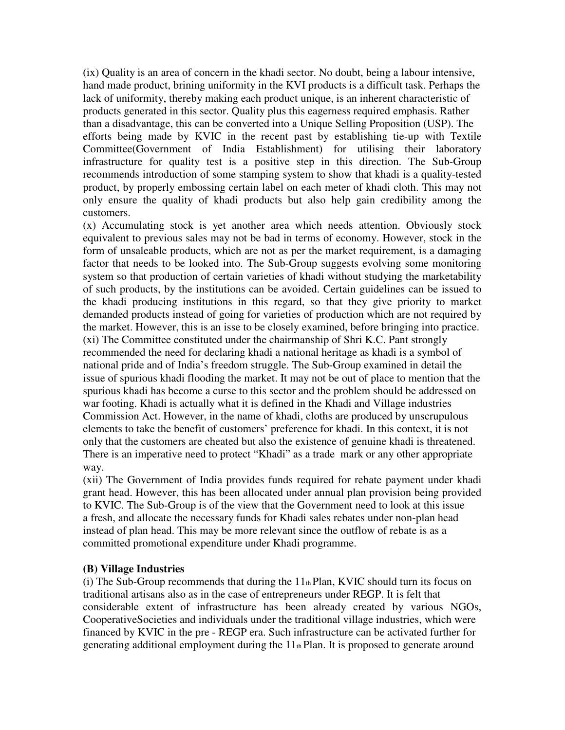(ix) Quality is an area of concern in the khadi sector. No doubt, being a labour intensive, hand made product, brining uniformity in the KVI products is a difficult task. Perhaps the lack of uniformity, thereby making each product unique, is an inherent characteristic of products generated in this sector. Quality plus this eagerness required emphasis. Rather than a disadvantage, this can be converted into a Unique Selling Proposition (USP). The efforts being made by KVIC in the recent past by establishing tie-up with Textile Committee(Government of India Establishment) for utilising their laboratory infrastructure for quality test is a positive step in this direction. The Sub-Group recommends introduction of some stamping system to show that khadi is a quality-tested product, by properly embossing certain label on each meter of khadi cloth. This may not only ensure the quality of khadi products but also help gain credibility among the customers.

(x) Accumulating stock is yet another area which needs attention. Obviously stock equivalent to previous sales may not be bad in terms of economy. However, stock in the form of unsaleable products, which are not as per the market requirement, is a damaging factor that needs to be looked into. The Sub-Group suggests evolving some monitoring system so that production of certain varieties of khadi without studying the marketability of such products, by the institutions can be avoided. Certain guidelines can be issued to the khadi producing institutions in this regard, so that they give priority to market demanded products instead of going for varieties of production which are not required by the market. However, this is an isse to be closely examined, before bringing into practice. (xi) The Committee constituted under the chairmanship of Shri K.C. Pant strongly recommended the need for declaring khadi a national heritage as khadi is a symbol of national pride and of India's freedom struggle. The Sub-Group examined in detail the issue of spurious khadi flooding the market. It may not be out of place to mention that the spurious khadi has become a curse to this sector and the problem should be addressed on war footing. Khadi is actually what it is defined in the Khadi and Village industries Commission Act. However, in the name of khadi, cloths are produced by unscrupulous elements to take the benefit of customers' preference for khadi. In this context, it is not only that the customers are cheated but also the existence of genuine khadi is threatened. There is an imperative need to protect "Khadi" as a trade mark or any other appropriate way.

(xii) The Government of India provides funds required for rebate payment under khadi grant head. However, this has been allocated under annual plan provision being provided to KVIC. The Sub-Group is of the view that the Government need to look at this issue a fresh, and allocate the necessary funds for Khadi sales rebates under non-plan head instead of plan head. This may be more relevant since the outflow of rebate is as a committed promotional expenditure under Khadi programme.

#### **(B) Village Industries**

(i) The Sub-Group recommends that during the  $11<sub>th</sub>$  Plan, KVIC should turn its focus on traditional artisans also as in the case of entrepreneurs under REGP. It is felt that considerable extent of infrastructure has been already created by various NGOs, CooperativeSocieties and individuals under the traditional village industries, which were financed by KVIC in the pre - REGP era. Such infrastructure can be activated further for generating additional employment during the  $11<sub>th</sub>$  Plan. It is proposed to generate around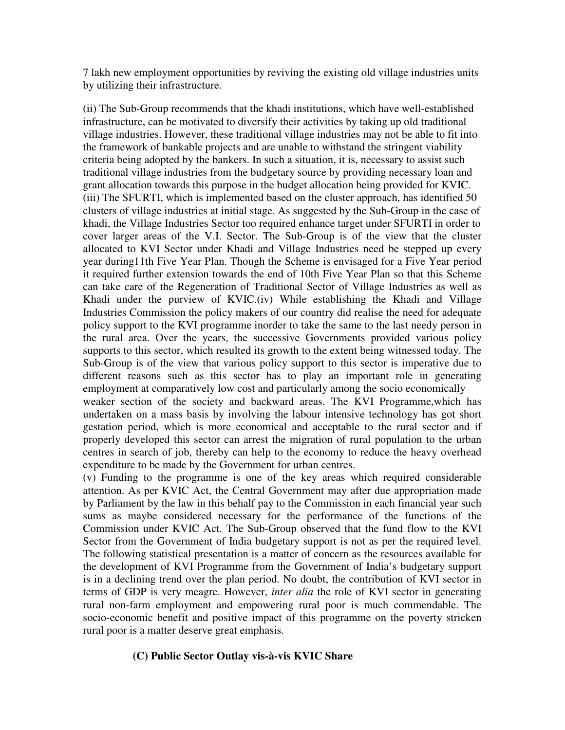7 lakh new employment opportunities by reviving the existing old village industries units by utilizing their infrastructure.

(ii) The Sub-Group recommends that the khadi institutions, which have well-established infrastructure, can be motivated to diversify their activities by taking up old traditional village industries. However, these traditional village industries may not be able to fit into the framework of bankable projects and are unable to withstand the stringent viability criteria being adopted by the bankers. In such a situation, it is, necessary to assist such traditional village industries from the budgetary source by providing necessary loan and grant allocation towards this purpose in the budget allocation being provided for KVIC. (iii) The SFURTI, which is implemented based on the cluster approach, has identified 50 clusters of village industries at initial stage. As suggested by the Sub-Group in the case of khadi, the Village Industries Sector too required enhance target under SFURTI in order to cover larger areas of the V.I. Sector. The Sub-Group is of the view that the cluster allocated to KVI Sector under Khadi and Village Industries need be stepped up every year during11th Five Year Plan. Though the Scheme is envisaged for a Five Year period it required further extension towards the end of 10th Five Year Plan so that this Scheme can take care of the Regeneration of Traditional Sector of Village Industries as well as Khadi under the purview of KVIC.(iv) While establishing the Khadi and Village Industries Commission the policy makers of our country did realise the need for adequate policy support to the KVI programme inorder to take the same to the last needy person in the rural area. Over the years, the successive Governments provided various policy supports to this sector, which resulted its growth to the extent being witnessed today. The Sub-Group is of the view that various policy support to this sector is imperative due to different reasons such as this sector has to play an important role in generating employment at comparatively low cost and particularly among the socio economically weaker section of the society and backward areas. The KVI Programme,which has

undertaken on a mass basis by involving the labour intensive technology has got short gestation period, which is more economical and acceptable to the rural sector and if properly developed this sector can arrest the migration of rural population to the urban centres in search of job, thereby can help to the economy to reduce the heavy overhead expenditure to be made by the Government for urban centres.

(v) Funding to the programme is one of the key areas which required considerable attention. As per KVIC Act, the Central Government may after due appropriation made by Parliament by the law in this behalf pay to the Commission in each financial year such sums as maybe considered necessary for the performance of the functions of the Commission under KVIC Act. The Sub-Group observed that the fund flow to the KVI Sector from the Government of India budgetary support is not as per the required level. The following statistical presentation is a matter of concern as the resources available for the development of KVI Programme from the Government of India's budgetary support is in a declining trend over the plan period. No doubt, the contribution of KVI sector in terms of GDP is very meagre. However, *inter alia* the role of KVI sector in generating rural non-farm employment and empowering rural poor is much commendable. The socio-economic benefit and positive impact of this programme on the poverty stricken rural poor is a matter deserve great emphasis.

#### **(C) Public Sector Outlay vis-à-vis KVIC Share**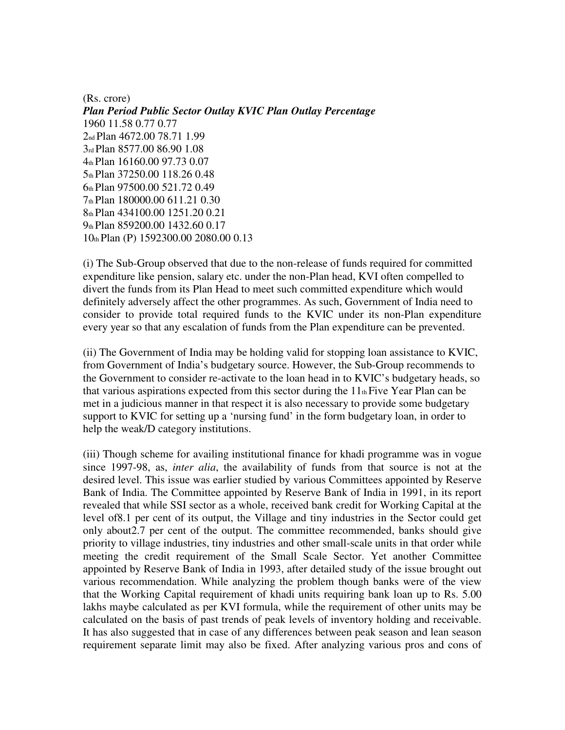(Rs. crore) *Plan Period Public Sector Outlay KVIC Plan Outlay Percentage*  1960 11.58 0.77 0.77 nd Plan 4672.00 78.71 1.99 rd Plan 8577.00 86.90 1.08 th Plan 16160.00 97.73 0.07 th Plan 37250.00 118.26 0.48 th Plan 97500.00 521.72 0.49 th Plan 180000.00 611.21 0.30 th Plan 434100.00 1251.20 0.21 th Plan 859200.00 1432.60 0.17 th Plan (P) 1592300.00 2080.00 0.13

(i) The Sub-Group observed that due to the non-release of funds required for committed expenditure like pension, salary etc. under the non-Plan head, KVI often compelled to divert the funds from its Plan Head to meet such committed expenditure which would definitely adversely affect the other programmes. As such, Government of India need to consider to provide total required funds to the KVIC under its non-Plan expenditure every year so that any escalation of funds from the Plan expenditure can be prevented.

(ii) The Government of India may be holding valid for stopping loan assistance to KVIC, from Government of India's budgetary source. However, the Sub-Group recommends to the Government to consider re-activate to the loan head in to KVIC's budgetary heads, so that various aspirations expected from this sector during the  $11<sub>th</sub>$  Five Year Plan can be met in a judicious manner in that respect it is also necessary to provide some budgetary support to KVIC for setting up a 'nursing fund' in the form budgetary loan, in order to help the weak/D category institutions.

(iii) Though scheme for availing institutional finance for khadi programme was in vogue since 1997-98, as, *inter alia*, the availability of funds from that source is not at the desired level. This issue was earlier studied by various Committees appointed by Reserve Bank of India. The Committee appointed by Reserve Bank of India in 1991, in its report revealed that while SSI sector as a whole, received bank credit for Working Capital at the level of8.1 per cent of its output, the Village and tiny industries in the Sector could get only about2.7 per cent of the output. The committee recommended, banks should give priority to village industries, tiny industries and other small-scale units in that order while meeting the credit requirement of the Small Scale Sector. Yet another Committee appointed by Reserve Bank of India in 1993, after detailed study of the issue brought out various recommendation. While analyzing the problem though banks were of the view that the Working Capital requirement of khadi units requiring bank loan up to Rs. 5.00 lakhs maybe calculated as per KVI formula, while the requirement of other units may be calculated on the basis of past trends of peak levels of inventory holding and receivable. It has also suggested that in case of any differences between peak season and lean season requirement separate limit may also be fixed. After analyzing various pros and cons of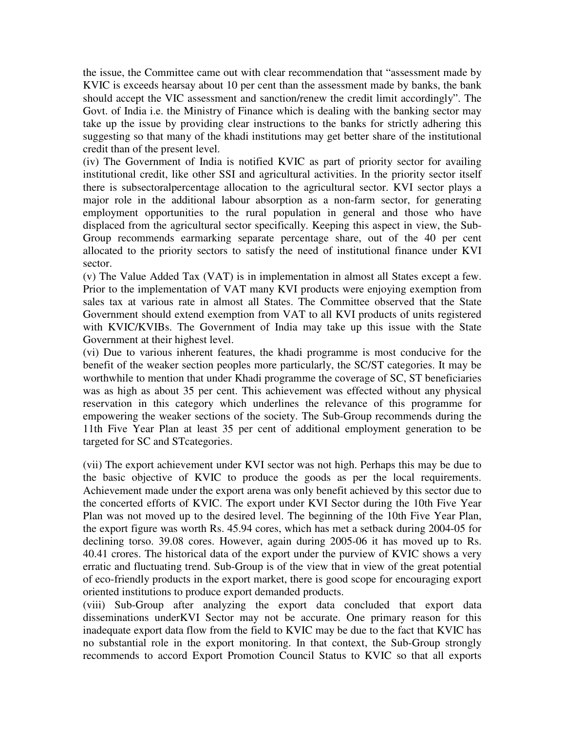the issue, the Committee came out with clear recommendation that "assessment made by KVIC is exceeds hearsay about 10 per cent than the assessment made by banks, the bank should accept the VIC assessment and sanction/renew the credit limit accordingly". The Govt. of India i.e. the Ministry of Finance which is dealing with the banking sector may take up the issue by providing clear instructions to the banks for strictly adhering this suggesting so that many of the khadi institutions may get better share of the institutional credit than of the present level.

(iv) The Government of India is notified KVIC as part of priority sector for availing institutional credit, like other SSI and agricultural activities. In the priority sector itself there is subsectoralpercentage allocation to the agricultural sector. KVI sector plays a major role in the additional labour absorption as a non-farm sector, for generating employment opportunities to the rural population in general and those who have displaced from the agricultural sector specifically. Keeping this aspect in view, the Sub-Group recommends earmarking separate percentage share, out of the 40 per cent allocated to the priority sectors to satisfy the need of institutional finance under KVI sector.

(v) The Value Added Tax (VAT) is in implementation in almost all States except a few. Prior to the implementation of VAT many KVI products were enjoying exemption from sales tax at various rate in almost all States. The Committee observed that the State Government should extend exemption from VAT to all KVI products of units registered with KVIC/KVIBs. The Government of India may take up this issue with the State Government at their highest level.

(vi) Due to various inherent features, the khadi programme is most conducive for the benefit of the weaker section peoples more particularly, the SC/ST categories. It may be worthwhile to mention that under Khadi programme the coverage of SC, ST beneficiaries was as high as about 35 per cent. This achievement was effected without any physical reservation in this category which underlines the relevance of this programme for empowering the weaker sections of the society. The Sub-Group recommends during the 11th Five Year Plan at least 35 per cent of additional employment generation to be targeted for SC and STcategories.

(vii) The export achievement under KVI sector was not high. Perhaps this may be due to the basic objective of KVIC to produce the goods as per the local requirements. Achievement made under the export arena was only benefit achieved by this sector due to the concerted efforts of KVIC. The export under KVI Sector during the 10th Five Year Plan was not moved up to the desired level. The beginning of the 10th Five Year Plan, the export figure was worth Rs. 45.94 cores, which has met a setback during 2004-05 for declining torso. 39.08 cores. However, again during 2005-06 it has moved up to Rs. 40.41 crores. The historical data of the export under the purview of KVIC shows a very erratic and fluctuating trend. Sub-Group is of the view that in view of the great potential of eco-friendly products in the export market, there is good scope for encouraging export oriented institutions to produce export demanded products.

(viii) Sub-Group after analyzing the export data concluded that export data disseminations underKVI Sector may not be accurate. One primary reason for this inadequate export data flow from the field to KVIC may be due to the fact that KVIC has no substantial role in the export monitoring. In that context, the Sub-Group strongly recommends to accord Export Promotion Council Status to KVIC so that all exports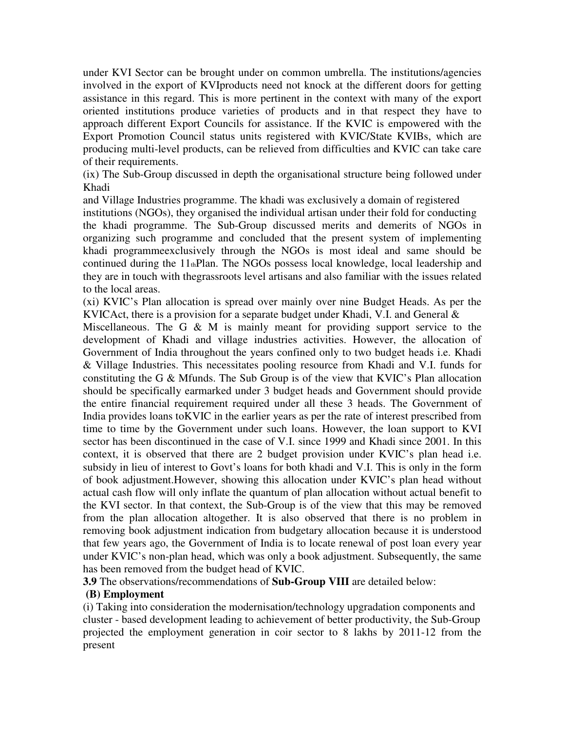under KVI Sector can be brought under on common umbrella. The institutions/agencies involved in the export of KVIproducts need not knock at the different doors for getting assistance in this regard. This is more pertinent in the context with many of the export oriented institutions produce varieties of products and in that respect they have to approach different Export Councils for assistance. If the KVIC is empowered with the Export Promotion Council status units registered with KVIC/State KVIBs, which are producing multi-level products, can be relieved from difficulties and KVIC can take care of their requirements.

(ix) The Sub-Group discussed in depth the organisational structure being followed under Khadi

and Village Industries programme. The khadi was exclusively a domain of registered

institutions (NGOs), they organised the individual artisan under their fold for conducting the khadi programme. The Sub-Group discussed merits and demerits of NGOs in organizing such programme and concluded that the present system of implementing khadi programmeexclusively through the NGOs is most ideal and same should be continued during the 11thPlan. The NGOs possess local knowledge, local leadership and they are in touch with thegrassroots level artisans and also familiar with the issues related to the local areas.

(xi) KVIC's Plan allocation is spread over mainly over nine Budget Heads. As per the KVICAct, there is a provision for a separate budget under Khadi, V.I. and General &

Miscellaneous. The G  $\&$  M is mainly meant for providing support service to the development of Khadi and village industries activities. However, the allocation of Government of India throughout the years confined only to two budget heads i.e. Khadi & Village Industries. This necessitates pooling resource from Khadi and V.I. funds for constituting the G & Mfunds. The Sub Group is of the view that KVIC's Plan allocation should be specifically earmarked under 3 budget heads and Government should provide the entire financial requirement required under all these 3 heads. The Government of India provides loans toKVIC in the earlier years as per the rate of interest prescribed from time to time by the Government under such loans. However, the loan support to KVI sector has been discontinued in the case of V.I. since 1999 and Khadi since 2001. In this context, it is observed that there are 2 budget provision under KVIC's plan head i.e. subsidy in lieu of interest to Govt's loans for both khadi and V.I. This is only in the form of book adjustment.However, showing this allocation under KVIC's plan head without actual cash flow will only inflate the quantum of plan allocation without actual benefit to the KVI sector. In that context, the Sub-Group is of the view that this may be removed from the plan allocation altogether. It is also observed that there is no problem in removing book adjustment indication from budgetary allocation because it is understood that few years ago, the Government of India is to locate renewal of post loan every year under KVIC's non-plan head, which was only a book adjustment. Subsequently, the same has been removed from the budget head of KVIC.

**3.9** The observations/recommendations of **Sub-Group VIII** are detailed below:

#### **(B) Employment**

(i) Taking into consideration the modernisation/technology upgradation components and cluster - based development leading to achievement of better productivity, the Sub-Group projected the employment generation in coir sector to 8 lakhs by 2011-12 from the present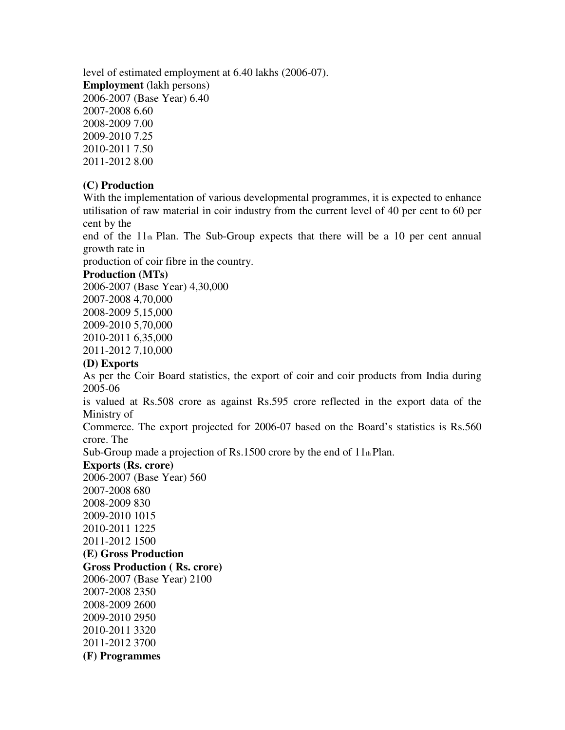level of estimated employment at 6.40 lakhs (2006-07). **Employment** (lakh persons) 2006-2007 (Base Year) 6.40 2007-2008 6.60 2008-2009 7.00 2009-2010 7.25 2010-2011 7.50 2011-2012 8.00

#### **(C) Production**

With the implementation of various developmental programmes, it is expected to enhance utilisation of raw material in coir industry from the current level of 40 per cent to 60 per cent by the

end of the  $11<sub>th</sub>$  Plan. The Sub-Group expects that there will be a 10 per cent annual growth rate in

production of coir fibre in the country.

#### **Production (MTs)**

2006-2007 (Base Year) 4,30,000 2007-2008 4,70,000 2008-2009 5,15,000 2009-2010 5,70,000 2010-2011 6,35,000 2011-2012 7,10,000

#### **(D) Exports**

As per the Coir Board statistics, the export of coir and coir products from India during 2005-06

is valued at Rs.508 crore as against Rs.595 crore reflected in the export data of the Ministry of

Commerce. The export projected for 2006-07 based on the Board's statistics is Rs.560 crore. The

Sub-Group made a projection of Rs.1500 crore by the end of  $11<sub>th</sub>$  Plan.

#### **Exports (Rs. crore)**

2006-2007 (Base Year) 560 2007-2008 680 2008-2009 830 2009-2010 1015 2010-2011 1225 2011-2012 1500 **(E) Gross Production Gross Production ( Rs. crore)**  2006-2007 (Base Year) 2100 2007-2008 2350 2008-2009 2600 2009-2010 2950 2010-2011 3320 2011-2012 3700 **(F) Programmes**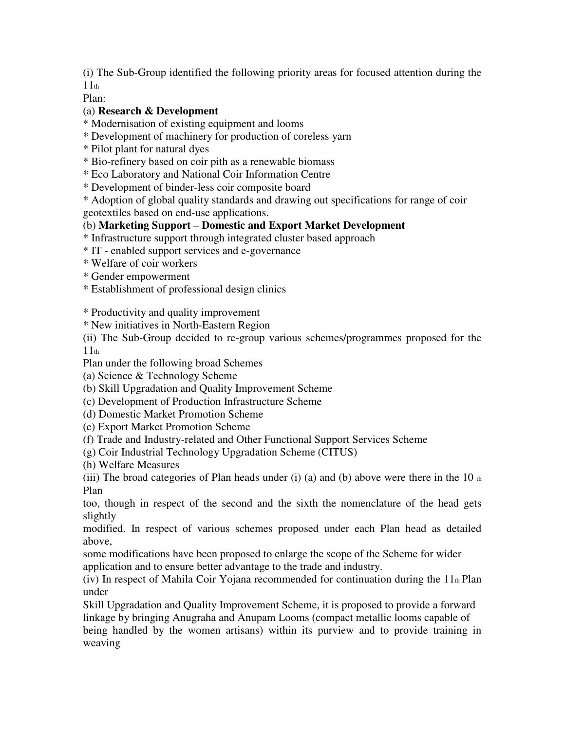(i) The Sub-Group identified the following priority areas for focused attention during the  $11<sub>th</sub>$ 

Plan:

## (a) **Research & Development**

\* Modernisation of existing equipment and looms

- \* Development of machinery for production of coreless yarn
- \* Pilot plant for natural dyes
- \* Bio-refinery based on coir pith as a renewable biomass
- \* Eco Laboratory and National Coir Information Centre
- \* Development of binder-less coir composite board

\* Adoption of global quality standards and drawing out specifications for range of coir geotextiles based on end-use applications.

# (b) **Marketing Support** – **Domestic and Export Market Development**

\* Infrastructure support through integrated cluster based approach

- \* IT enabled support services and e-governance
- \* Welfare of coir workers
- \* Gender empowerment
- \* Establishment of professional design clinics

\* Productivity and quality improvement

\* New initiatives in North-Eastern Region

(ii) The Sub-Group decided to re-group various schemes/programmes proposed for the  $11<sub>th</sub>$ 

Plan under the following broad Schemes

- (a) Science & Technology Scheme
- (b) Skill Upgradation and Quality Improvement Scheme
- (c) Development of Production Infrastructure Scheme
- (d) Domestic Market Promotion Scheme
- (e) Export Market Promotion Scheme
- (f) Trade and Industry-related and Other Functional Support Services Scheme
- (g) Coir Industrial Technology Upgradation Scheme (CITUS)
- (h) Welfare Measures

(iii) The broad categories of Plan heads under (i) (a) and (b) above were there in the 10  $<sub>th</sub>$ </sub> Plan

too, though in respect of the second and the sixth the nomenclature of the head gets slightly

modified. In respect of various schemes proposed under each Plan head as detailed above,

some modifications have been proposed to enlarge the scope of the Scheme for wider application and to ensure better advantage to the trade and industry.

(iv) In respect of Mahila Coir Yojana recommended for continuation during the  $11<sub>th</sub>$  Plan under

Skill Upgradation and Quality Improvement Scheme, it is proposed to provide a forward linkage by bringing Anugraha and Anupam Looms (compact metallic looms capable of being handled by the women artisans) within its purview and to provide training in weaving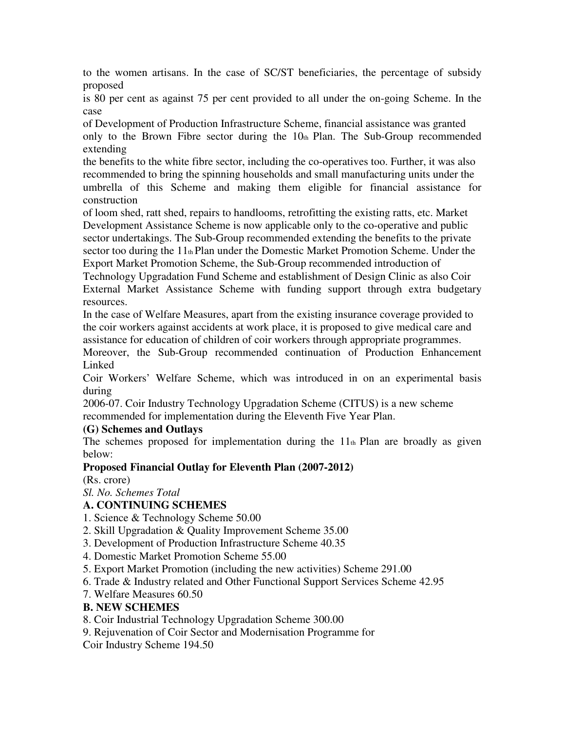to the women artisans. In the case of SC/ST beneficiaries, the percentage of subsidy proposed

is 80 per cent as against 75 per cent provided to all under the on-going Scheme. In the case

of Development of Production Infrastructure Scheme, financial assistance was granted only to the Brown Fibre sector during the  $10<sub>th</sub>$  Plan. The Sub-Group recommended extending

the benefits to the white fibre sector, including the co-operatives too. Further, it was also recommended to bring the spinning households and small manufacturing units under the umbrella of this Scheme and making them eligible for financial assistance for construction

of loom shed, ratt shed, repairs to handlooms, retrofitting the existing ratts, etc. Market Development Assistance Scheme is now applicable only to the co-operative and public sector undertakings. The Sub-Group recommended extending the benefits to the private sector too during the 11th Plan under the Domestic Market Promotion Scheme. Under the Export Market Promotion Scheme, the Sub-Group recommended introduction of

Technology Upgradation Fund Scheme and establishment of Design Clinic as also Coir External Market Assistance Scheme with funding support through extra budgetary resources.

In the case of Welfare Measures, apart from the existing insurance coverage provided to the coir workers against accidents at work place, it is proposed to give medical care and assistance for education of children of coir workers through appropriate programmes.

Moreover, the Sub-Group recommended continuation of Production Enhancement Linked

Coir Workers' Welfare Scheme, which was introduced in on an experimental basis during

2006-07. Coir Industry Technology Upgradation Scheme (CITUS) is a new scheme recommended for implementation during the Eleventh Five Year Plan.

## **(G) Schemes and Outlays**

The schemes proposed for implementation during the  $11<sub>th</sub>$  Plan are broadly as given below:

# **Proposed Financial Outlay for Eleventh Plan (2007-2012)**

(Rs. crore)

*Sl. No. Schemes Total* 

# **A. CONTINUING SCHEMES**

- 1. Science & Technology Scheme 50.00
- 2. Skill Upgradation & Quality Improvement Scheme 35.00
- 3. Development of Production Infrastructure Scheme 40.35
- 4. Domestic Market Promotion Scheme 55.00
- 5. Export Market Promotion (including the new activities) Scheme 291.00
- 6. Trade & Industry related and Other Functional Support Services Scheme 42.95
- 7. Welfare Measures 60.50

# **B. NEW SCHEMES**

- 8. Coir Industrial Technology Upgradation Scheme 300.00
- 9. Rejuvenation of Coir Sector and Modernisation Programme for

Coir Industry Scheme 194.50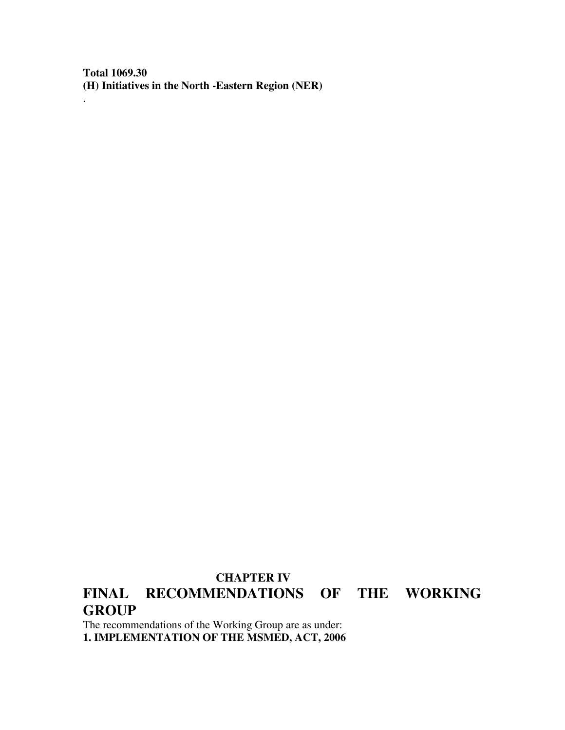**Total 1069.30 (H) Initiatives in the North -Eastern Region (NER)** 

.

# **CHAPTER IV FINAL RECOMMENDATIONS OF THE WORKING GROUP**

The recommendations of the Working Group are as under: **1. IMPLEMENTATION OF THE MSMED, ACT, 2006**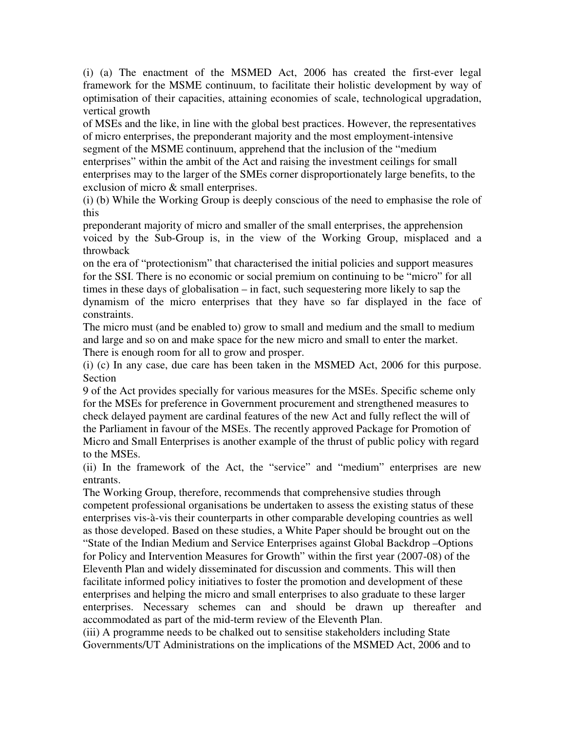(i) (a) The enactment of the MSMED Act, 2006 has created the first-ever legal framework for the MSME continuum, to facilitate their holistic development by way of optimisation of their capacities, attaining economies of scale, technological upgradation, vertical growth

of MSEs and the like, in line with the global best practices. However, the representatives of micro enterprises, the preponderant majority and the most employment-intensive segment of the MSME continuum, apprehend that the inclusion of the "medium enterprises" within the ambit of the Act and raising the investment ceilings for small enterprises may to the larger of the SMEs corner disproportionately large benefits, to the exclusion of micro & small enterprises.

(i) (b) While the Working Group is deeply conscious of the need to emphasise the role of this

preponderant majority of micro and smaller of the small enterprises, the apprehension voiced by the Sub-Group is, in the view of the Working Group, misplaced and a throwback

on the era of "protectionism" that characterised the initial policies and support measures for the SSI. There is no economic or social premium on continuing to be "micro" for all times in these days of globalisation – in fact, such sequestering more likely to sap the dynamism of the micro enterprises that they have so far displayed in the face of constraints.

The micro must (and be enabled to) grow to small and medium and the small to medium and large and so on and make space for the new micro and small to enter the market. There is enough room for all to grow and prosper.

(i) (c) In any case, due care has been taken in the MSMED Act, 2006 for this purpose. Section

9 of the Act provides specially for various measures for the MSEs. Specific scheme only for the MSEs for preference in Government procurement and strengthened measures to check delayed payment are cardinal features of the new Act and fully reflect the will of the Parliament in favour of the MSEs. The recently approved Package for Promotion of Micro and Small Enterprises is another example of the thrust of public policy with regard to the MSEs.

(ii) In the framework of the Act, the "service" and "medium" enterprises are new entrants.

The Working Group, therefore, recommends that comprehensive studies through competent professional organisations be undertaken to assess the existing status of these enterprises vis-à-vis their counterparts in other comparable developing countries as well as those developed. Based on these studies, a White Paper should be brought out on the "State of the Indian Medium and Service Enterprises against Global Backdrop –Options for Policy and Intervention Measures for Growth" within the first year (2007-08) of the Eleventh Plan and widely disseminated for discussion and comments. This will then facilitate informed policy initiatives to foster the promotion and development of these enterprises and helping the micro and small enterprises to also graduate to these larger enterprises. Necessary schemes can and should be drawn up thereafter and accommodated as part of the mid-term review of the Eleventh Plan.

(iii) A programme needs to be chalked out to sensitise stakeholders including State Governments/UT Administrations on the implications of the MSMED Act, 2006 and to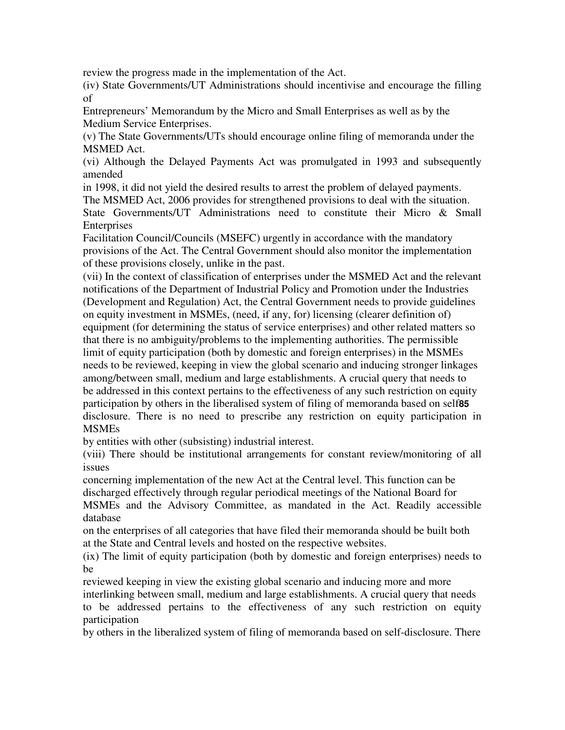review the progress made in the implementation of the Act.

(iv) State Governments/UT Administrations should incentivise and encourage the filling of

Entrepreneurs' Memorandum by the Micro and Small Enterprises as well as by the Medium Service Enterprises.

(v) The State Governments/UTs should encourage online filing of memoranda under the MSMED Act.

(vi) Although the Delayed Payments Act was promulgated in 1993 and subsequently amended

in 1998, it did not yield the desired results to arrest the problem of delayed payments. The MSMED Act, 2006 provides for strengthened provisions to deal with the situation.

State Governments/UT Administrations need to constitute their Micro & Small **Enterprises** 

Facilitation Council/Councils (MSEFC) urgently in accordance with the mandatory provisions of the Act. The Central Government should also monitor the implementation of these provisions closely, unlike in the past.

(vii) In the context of classification of enterprises under the MSMED Act and the relevant notifications of the Department of Industrial Policy and Promotion under the Industries (Development and Regulation) Act, the Central Government needs to provide guidelines on equity investment in MSMEs, (need, if any, for) licensing (clearer definition of) equipment (for determining the status of service enterprises) and other related matters so that there is no ambiguity/problems to the implementing authorities. The permissible limit of equity participation (both by domestic and foreign enterprises) in the MSMEs needs to be reviewed, keeping in view the global scenario and inducing stronger linkages among/between small, medium and large establishments. A crucial query that needs to be addressed in this context pertains to the effectiveness of any such restriction on equity participation by others in the liberalised system of filing of memoranda based on self**85**  disclosure. There is no need to prescribe any restriction on equity participation in MSMEs

by entities with other (subsisting) industrial interest.

(viii) There should be institutional arrangements for constant review/monitoring of all issues

concerning implementation of the new Act at the Central level. This function can be discharged effectively through regular periodical meetings of the National Board for MSMEs and the Advisory Committee, as mandated in the Act. Readily accessible database

on the enterprises of all categories that have filed their memoranda should be built both at the State and Central levels and hosted on the respective websites.

(ix) The limit of equity participation (both by domestic and foreign enterprises) needs to be

reviewed keeping in view the existing global scenario and inducing more and more interlinking between small, medium and large establishments. A crucial query that needs to be addressed pertains to the effectiveness of any such restriction on equity participation

by others in the liberalized system of filing of memoranda based on self-disclosure. There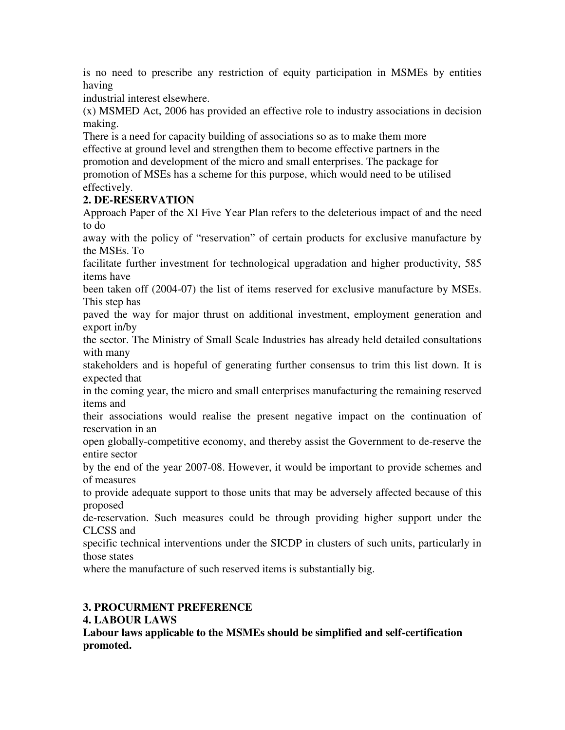is no need to prescribe any restriction of equity participation in MSMEs by entities having

industrial interest elsewhere.

(x) MSMED Act, 2006 has provided an effective role to industry associations in decision making.

There is a need for capacity building of associations so as to make them more effective at ground level and strengthen them to become effective partners in the promotion and development of the micro and small enterprises. The package for promotion of MSEs has a scheme for this purpose, which would need to be utilised effectively.

# **2. DE-RESERVATION**

Approach Paper of the XI Five Year Plan refers to the deleterious impact of and the need to do

away with the policy of "reservation" of certain products for exclusive manufacture by the MSEs. To

facilitate further investment for technological upgradation and higher productivity, 585 items have

been taken off (2004-07) the list of items reserved for exclusive manufacture by MSEs. This step has

paved the way for major thrust on additional investment, employment generation and export in/by

the sector. The Ministry of Small Scale Industries has already held detailed consultations with many

stakeholders and is hopeful of generating further consensus to trim this list down. It is expected that

in the coming year, the micro and small enterprises manufacturing the remaining reserved items and

their associations would realise the present negative impact on the continuation of reservation in an

open globally-competitive economy, and thereby assist the Government to de-reserve the entire sector

by the end of the year 2007-08. However, it would be important to provide schemes and of measures

to provide adequate support to those units that may be adversely affected because of this proposed

de-reservation. Such measures could be through providing higher support under the CLCSS and

specific technical interventions under the SICDP in clusters of such units, particularly in those states

where the manufacture of such reserved items is substantially big.

# **3. PROCURMENT PREFERENCE**

# **4. LABOUR LAWS**

**Labour laws applicable to the MSMEs should be simplified and self-certification promoted.**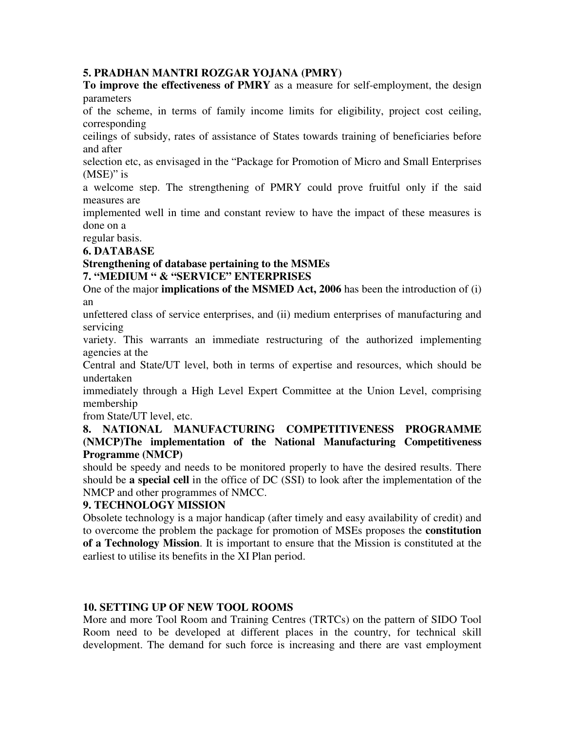#### **5. PRADHAN MANTRI ROZGAR YOJANA (PMRY)**

**To improve the effectiveness of PMRY** as a measure for self-employment, the design parameters

of the scheme, in terms of family income limits for eligibility, project cost ceiling, corresponding

ceilings of subsidy, rates of assistance of States towards training of beneficiaries before and after

selection etc, as envisaged in the "Package for Promotion of Micro and Small Enterprises (MSE)" is

a welcome step. The strengthening of PMRY could prove fruitful only if the said measures are

implemented well in time and constant review to have the impact of these measures is done on a

regular basis.

#### **6. DATABASE**

#### **Strengthening of database pertaining to the MSMEs 7. "MEDIUM " & "SERVICE" ENTERPRISES**

One of the major **implications of the MSMED Act, 2006** has been the introduction of (i) an

unfettered class of service enterprises, and (ii) medium enterprises of manufacturing and servicing

variety. This warrants an immediate restructuring of the authorized implementing agencies at the

Central and State/UT level, both in terms of expertise and resources, which should be undertaken

immediately through a High Level Expert Committee at the Union Level, comprising membership

from State/UT level, etc.

#### **8. NATIONAL MANUFACTURING COMPETITIVENESS PROGRAMME (NMCP)The implementation of the National Manufacturing Competitiveness Programme (NMCP)**

should be speedy and needs to be monitored properly to have the desired results. There should be **a special cell** in the office of DC (SSI) to look after the implementation of the NMCP and other programmes of NMCC.

## **9. TECHNOLOGY MISSION**

Obsolete technology is a major handicap (after timely and easy availability of credit) and to overcome the problem the package for promotion of MSEs proposes the **constitution of a Technology Mission**. It is important to ensure that the Mission is constituted at the earliest to utilise its benefits in the XI Plan period.

## **10. SETTING UP OF NEW TOOL ROOMS**

More and more Tool Room and Training Centres (TRTCs) on the pattern of SIDO Tool Room need to be developed at different places in the country, for technical skill development. The demand for such force is increasing and there are vast employment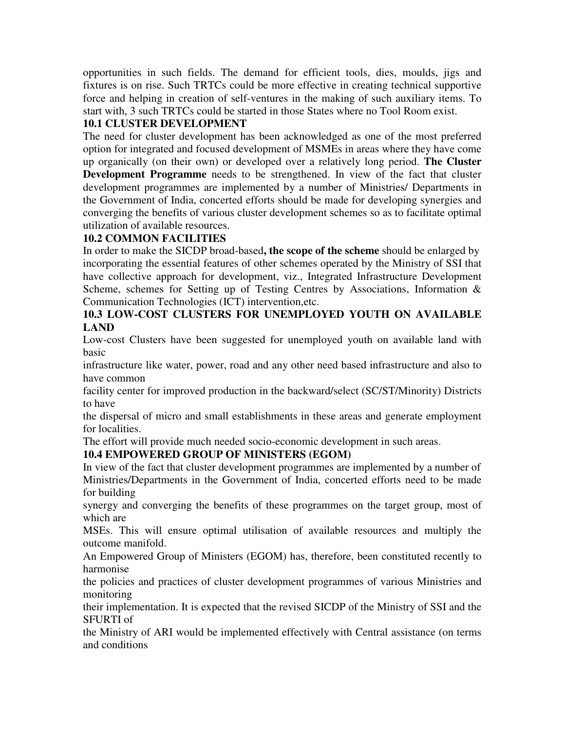opportunities in such fields. The demand for efficient tools, dies, moulds, jigs and fixtures is on rise. Such TRTCs could be more effective in creating technical supportive force and helping in creation of self-ventures in the making of such auxiliary items. To start with, 3 such TRTCs could be started in those States where no Tool Room exist.

# **10.1 CLUSTER DEVELOPMENT**

The need for cluster development has been acknowledged as one of the most preferred option for integrated and focused development of MSMEs in areas where they have come up organically (on their own) or developed over a relatively long period. **The Cluster Development Programme** needs to be strengthened. In view of the fact that cluster development programmes are implemented by a number of Ministries/ Departments in the Government of India, concerted efforts should be made for developing synergies and converging the benefits of various cluster development schemes so as to facilitate optimal utilization of available resources.

# **10.2 COMMON FACILITIES**

In order to make the SICDP broad-based**, the scope of the scheme** should be enlarged by incorporating the essential features of other schemes operated by the Ministry of SSI that have collective approach for development, viz., Integrated Infrastructure Development Scheme, schemes for Setting up of Testing Centres by Associations, Information & Communication Technologies (ICT) intervention,etc.

# **10.3 LOW-COST CLUSTERS FOR UNEMPLOYED YOUTH ON AVAILABLE LAND**

Low-cost Clusters have been suggested for unemployed youth on available land with basic

infrastructure like water, power, road and any other need based infrastructure and also to have common

facility center for improved production in the backward/select (SC/ST/Minority) Districts to have

the dispersal of micro and small establishments in these areas and generate employment for localities.

The effort will provide much needed socio-economic development in such areas.

# **10.4 EMPOWERED GROUP OF MINISTERS (EGOM)**

In view of the fact that cluster development programmes are implemented by a number of Ministries/Departments in the Government of India, concerted efforts need to be made for building

synergy and converging the benefits of these programmes on the target group, most of which are

MSEs. This will ensure optimal utilisation of available resources and multiply the outcome manifold.

An Empowered Group of Ministers (EGOM) has, therefore, been constituted recently to harmonise

the policies and practices of cluster development programmes of various Ministries and monitoring

their implementation. It is expected that the revised SICDP of the Ministry of SSI and the SFURTI of

the Ministry of ARI would be implemented effectively with Central assistance (on terms and conditions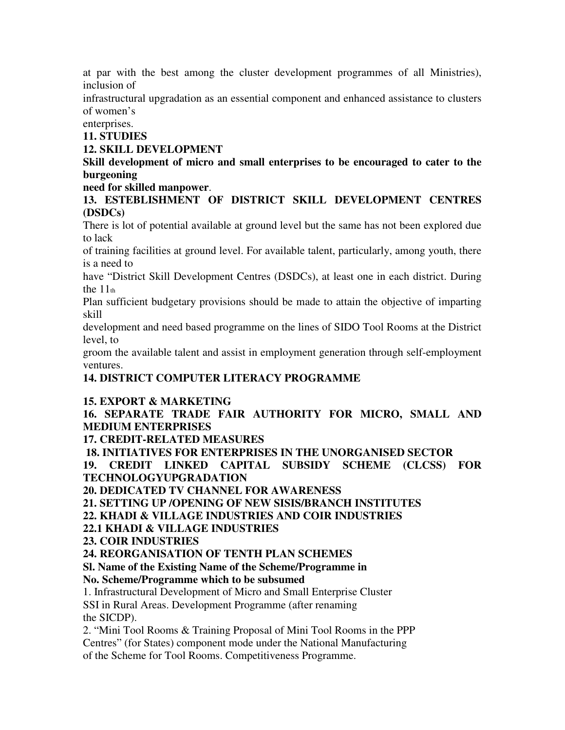at par with the best among the cluster development programmes of all Ministries), inclusion of

infrastructural upgradation as an essential component and enhanced assistance to clusters of women's

enterprises.

**11. STUDIES** 

#### **12. SKILL DEVELOPMENT**

**Skill development of micro and small enterprises to be encouraged to cater to the burgeoning** 

## **need for skilled manpower**.

**13. ESTEBLISHMENT OF DISTRICT SKILL DEVELOPMENT CENTRES (DSDCs)** 

There is lot of potential available at ground level but the same has not been explored due to lack

of training facilities at ground level. For available talent, particularly, among youth, there is a need to

have "District Skill Development Centres (DSDCs), at least one in each district. During the  $11<sub>th</sub>$ 

Plan sufficient budgetary provisions should be made to attain the objective of imparting skill

development and need based programme on the lines of SIDO Tool Rooms at the District level, to

groom the available talent and assist in employment generation through self-employment ventures.

# **14. DISTRICT COMPUTER LITERACY PROGRAMME**

## **15. EXPORT & MARKETING**

**16. SEPARATE TRADE FAIR AUTHORITY FOR MICRO, SMALL AND MEDIUM ENTERPRISES** 

**17. CREDIT-RELATED MEASURES** 

 **18. INITIATIVES FOR ENTERPRISES IN THE UNORGANISED SECTOR** 

**19. CREDIT LINKED CAPITAL SUBSIDY SCHEME (CLCSS) FOR TECHNOLOGYUPGRADATION** 

**20. DEDICATED TV CHANNEL FOR AWARENESS** 

**21. SETTING UP /OPENING OF NEW SISIS/BRANCH INSTITUTES** 

**22. KHADI & VILLAGE INDUSTRIES AND COIR INDUSTRIES** 

**22.1 KHADI & VILLAGE INDUSTRIES** 

**23. COIR INDUSTRIES** 

**24. REORGANISATION OF TENTH PLAN SCHEMES** 

**Sl. Name of the Existing Name of the Scheme/Programme in** 

**No. Scheme/Programme which to be subsumed** 

1. Infrastructural Development of Micro and Small Enterprise Cluster SSI in Rural Areas. Development Programme (after renaming the SICDP).

2. "Mini Tool Rooms & Training Proposal of Mini Tool Rooms in the PPP Centres" (for States) component mode under the National Manufacturing of the Scheme for Tool Rooms. Competitiveness Programme.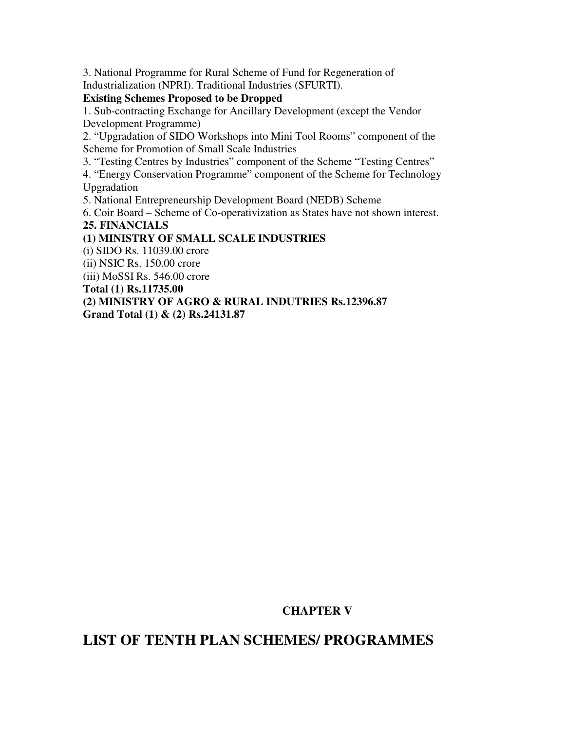3. National Programme for Rural Scheme of Fund for Regeneration of Industrialization (NPRI). Traditional Industries (SFURTI).

#### **Existing Schemes Proposed to be Dropped**

1. Sub-contracting Exchange for Ancillary Development (except the Vendor Development Programme)

2. "Upgradation of SIDO Workshops into Mini Tool Rooms" component of the Scheme for Promotion of Small Scale Industries

3. "Testing Centres by Industries" component of the Scheme "Testing Centres"

4. "Energy Conservation Programme" component of the Scheme for Technology Upgradation

5. National Entrepreneurship Development Board (NEDB) Scheme

6. Coir Board – Scheme of Co-operativization as States have not shown interest.

#### **25. FINANCIALS**

## **(1) MINISTRY OF SMALL SCALE INDUSTRIES**

(i) SIDO Rs. 11039.00 crore

(ii) NSIC Rs. 150.00 crore

(iii) MoSSI Rs. 546.00 crore

**Total (1) Rs.11735.00** 

**(2) MINISTRY OF AGRO & RURAL INDUTRIES Rs.12396.87** 

**Grand Total (1) & (2) Rs.24131.87** 

# **CHAPTER V**

# **LIST OF TENTH PLAN SCHEMES/ PROGRAMMES**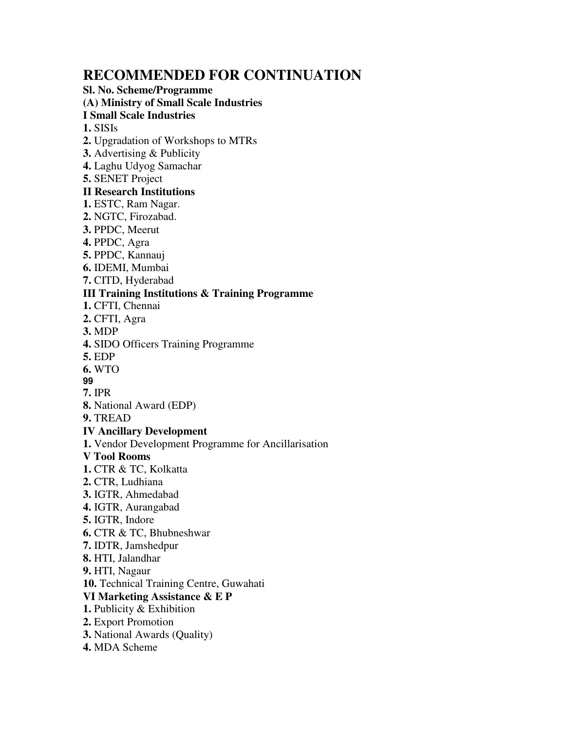# **RECOMMENDED FOR CONTINUATION**

**Sl. No. Scheme/Programme (A) Ministry of Small Scale Industries I Small Scale Industries 1.** SISIs **2.** Upgradation of Workshops to MTRs **3.** Advertising & Publicity **4.** Laghu Udyog Samachar **5.** SENET Project **II Research Institutions 1.** ESTC, Ram Nagar. **2.** NGTC, Firozabad. **3.** PPDC, Meerut **4.** PPDC, Agra **5.** PPDC, Kannauj **6.** IDEMI, Mumbai **7.** CITD, Hyderabad **III Training Institutions & Training Programme 1.** CFTI, Chennai **2.** CFTI, Agra **3.** MDP **4.** SIDO Officers Training Programme **5.** EDP **6.** WTO **99 7.** IPR **8.** National Award (EDP) **9.** TREAD **IV Ancillary Development 1.** Vendor Development Programme for Ancillarisation **V Tool Rooms 1.** CTR & TC, Kolkatta **2.** CTR, Ludhiana **3.** IGTR, Ahmedabad **4.** IGTR, Aurangabad **5.** IGTR, Indore **6.** CTR & TC, Bhubneshwar **7.** IDTR, Jamshedpur **8.** HTI, Jalandhar **9.** HTI, Nagaur **10.** Technical Training Centre, Guwahati **VI Marketing Assistance & E P 1.** Publicity & Exhibition

- **2.** Export Promotion
- **3.** National Awards (Quality)
- **4.** MDA Scheme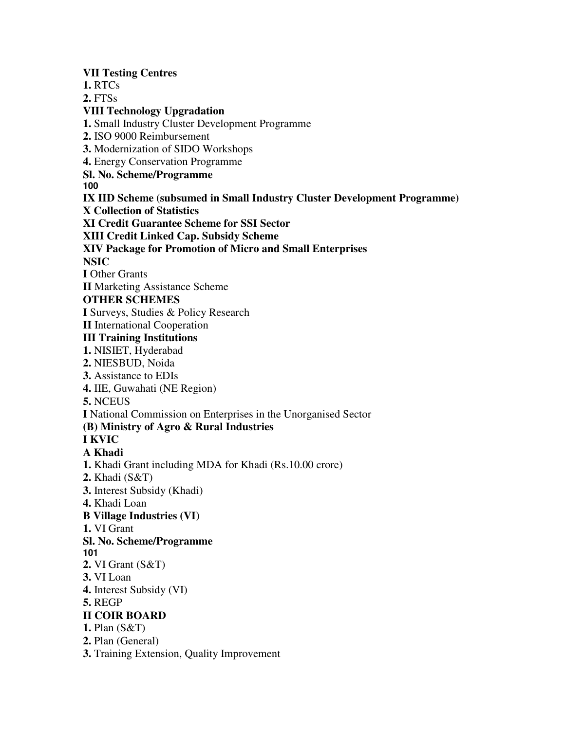**VII Testing Centres 1.** RTCs **2.** FTSs **VIII Technology Upgradation 1.** Small Industry Cluster Development Programme **2.** ISO 9000 Reimbursement **3.** Modernization of SIDO Workshops **4.** Energy Conservation Programme **Sl. No. Scheme/Programme 100 IX IID Scheme (subsumed in Small Industry Cluster Development Programme) X Collection of Statistics XI Credit Guarantee Scheme for SSI Sector XIII Credit Linked Cap. Subsidy Scheme XIV Package for Promotion of Micro and Small Enterprises NSIC I** Other Grants **II** Marketing Assistance Scheme **OTHER SCHEMES I** Surveys, Studies & Policy Research **II** International Cooperation **III Training Institutions 1.** NISIET, Hyderabad **2.** NIESBUD, Noida **3.** Assistance to EDIs **4.** IIE, Guwahati (NE Region) **5.** NCEUS **I** National Commission on Enterprises in the Unorganised Sector **(B) Ministry of Agro & Rural Industries I KVIC A Khadi 1.** Khadi Grant including MDA for Khadi (Rs.10.00 crore) **2.** Khadi (S&T) **3.** Interest Subsidy (Khadi) **4.** Khadi Loan **B Village Industries (VI) 1.** VI Grant **Sl. No. Scheme/Programme 101 2.** VI Grant (S&T) **3.** VI Loan **4.** Interest Subsidy (VI) **5.** REGP **II COIR BOARD 1.** Plan (S&T) **2.** Plan (General) **3.** Training Extension, Quality Improvement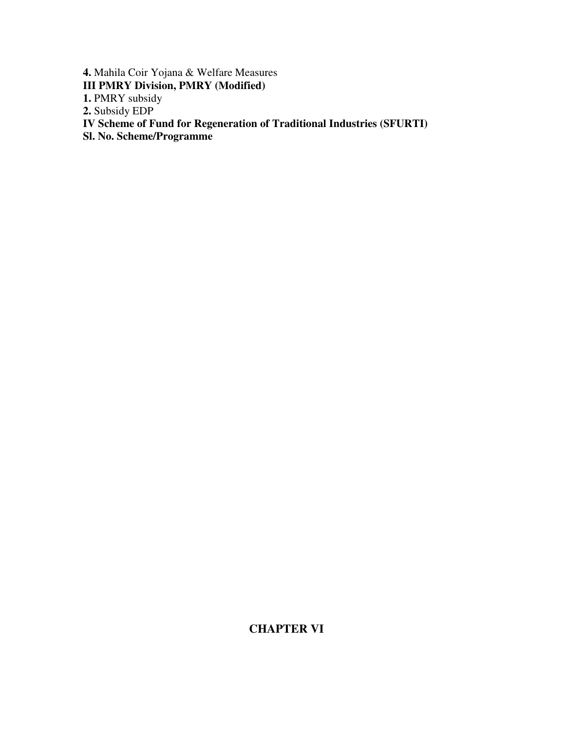**4.** Mahila Coir Yojana & Welfare Measures **III PMRY Division, PMRY (Modified)**  1. PMRY subsidy **2.** Subsidy EDP **IV Scheme of Fund for Regeneration of Traditional Industries (SFURTI) Sl. No. Scheme/Programme** 

# **CHAPTER VI**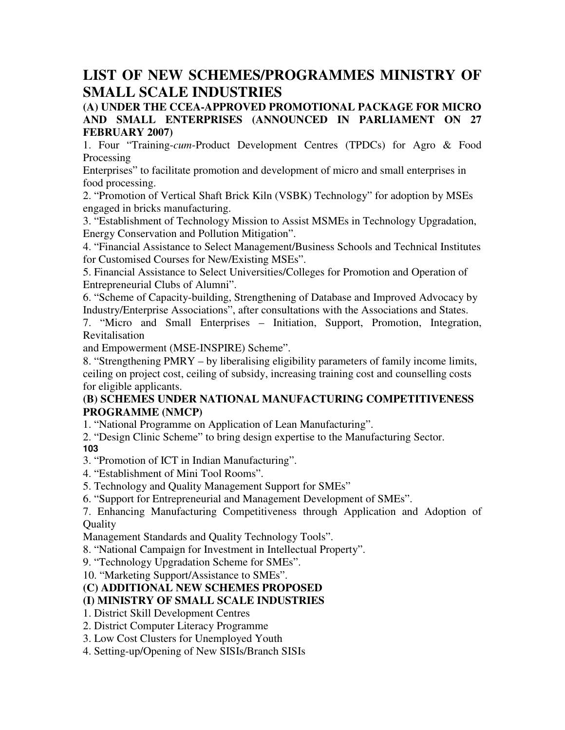# **LIST OF NEW SCHEMES/PROGRAMMES MINISTRY OF SMALL SCALE INDUSTRIES**

## **(A) UNDER THE CCEA-APPROVED PROMOTIONAL PACKAGE FOR MICRO AND SMALL ENTERPRISES (ANNOUNCED IN PARLIAMENT ON 27 FEBRUARY 2007)**

1. Four "Training-*cum*-Product Development Centres (TPDCs) for Agro & Food Processing

Enterprises" to facilitate promotion and development of micro and small enterprises in food processing.

2. "Promotion of Vertical Shaft Brick Kiln (VSBK) Technology" for adoption by MSEs engaged in bricks manufacturing.

3. "Establishment of Technology Mission to Assist MSMEs in Technology Upgradation, Energy Conservation and Pollution Mitigation".

4. "Financial Assistance to Select Management/Business Schools and Technical Institutes for Customised Courses for New/Existing MSEs".

5. Financial Assistance to Select Universities/Colleges for Promotion and Operation of Entrepreneurial Clubs of Alumni".

6. "Scheme of Capacity-building, Strengthening of Database and Improved Advocacy by Industry/Enterprise Associations", after consultations with the Associations and States.

7. "Micro and Small Enterprises – Initiation, Support, Promotion, Integration, Revitalisation

and Empowerment (MSE-INSPIRE) Scheme".

8. "Strengthening PMRY – by liberalising eligibility parameters of family income limits, ceiling on project cost, ceiling of subsidy, increasing training cost and counselling costs for eligible applicants.

## **(B) SCHEMES UNDER NATIONAL MANUFACTURING COMPETITIVENESS PROGRAMME (NMCP)**

1. "National Programme on Application of Lean Manufacturing".

2. "Design Clinic Scheme" to bring design expertise to the Manufacturing Sector. **103** 

- 3. "Promotion of ICT in Indian Manufacturing".
- 4. "Establishment of Mini Tool Rooms".
- 5. Technology and Quality Management Support for SMEs"
- 6. "Support for Entrepreneurial and Management Development of SMEs".

7. Enhancing Manufacturing Competitiveness through Application and Adoption of **Quality** 

Management Standards and Quality Technology Tools".

8. "National Campaign for Investment in Intellectual Property".

9. "Technology Upgradation Scheme for SMEs".

10. "Marketing Support/Assistance to SMEs".

# **(C) ADDITIONAL NEW SCHEMES PROPOSED**

# **(I) MINISTRY OF SMALL SCALE INDUSTRIES**

1. District Skill Development Centres

2. District Computer Literacy Programme

3. Low Cost Clusters for Unemployed Youth

4. Setting-up/Opening of New SISIs/Branch SISIs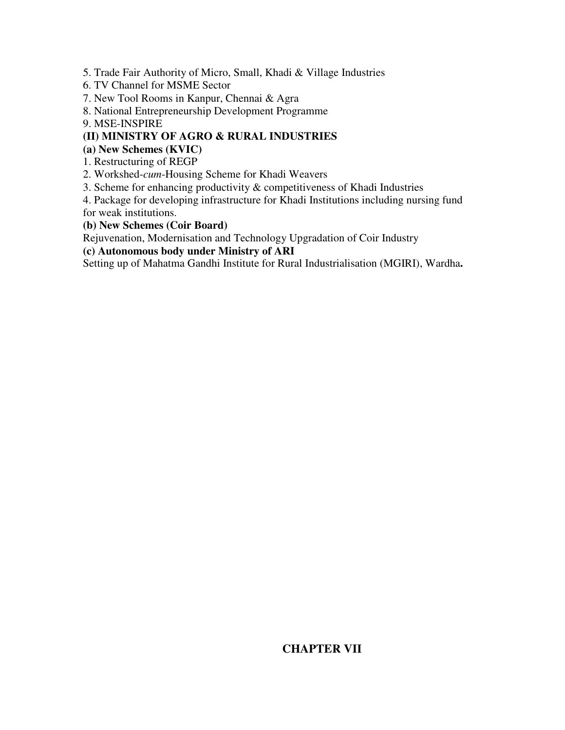5. Trade Fair Authority of Micro, Small, Khadi & Village Industries

- 6. TV Channel for MSME Sector
- 7. New Tool Rooms in Kanpur, Chennai & Agra
- 8. National Entrepreneurship Development Programme

9. MSE-INSPIRE

# **(II) MINISTRY OF AGRO & RURAL INDUSTRIES**

**(a) New Schemes (KVIC)** 

1. Restructuring of REGP

2. Workshed-*cum*-Housing Scheme for Khadi Weavers

3. Scheme for enhancing productivity & competitiveness of Khadi Industries

4. Package for developing infrastructure for Khadi Institutions including nursing fund for weak institutions.

**(b) New Schemes (Coir Board)** 

Rejuvenation, Modernisation and Technology Upgradation of Coir Industry

**(c) Autonomous body under Ministry of ARI** 

Setting up of Mahatma Gandhi Institute for Rural Industrialisation (MGIRI), Wardha**.** 

# **CHAPTER VII**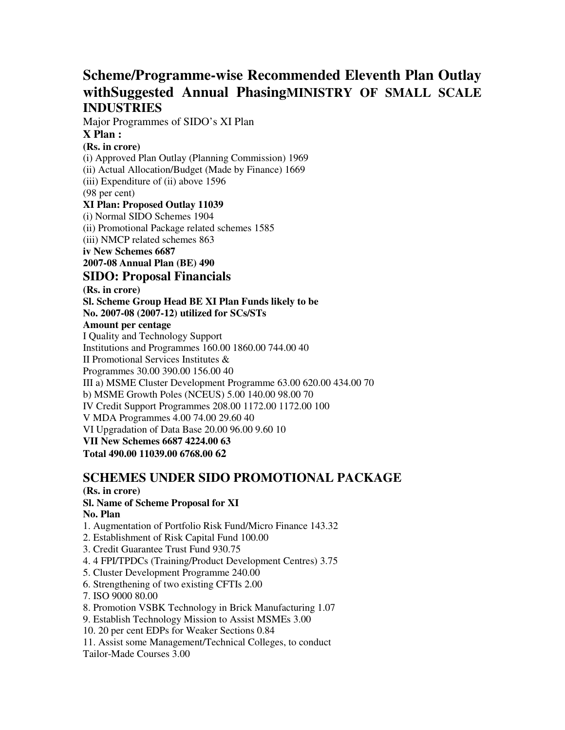# **Scheme/Programme-wise Recommended Eleventh Plan Outlay withSuggested Annual PhasingMINISTRY OF SMALL SCALE INDUSTRIES**

Major Programmes of SIDO's XI Plan

#### **X Plan :**

#### **(Rs. in crore)**

(i) Approved Plan Outlay (Planning Commission) 1969 (ii) Actual Allocation/Budget (Made by Finance) 1669 (iii) Expenditure of (ii) above 1596 (98 per cent) **XI Plan: Proposed Outlay 11039**  (i) Normal SIDO Schemes 1904 (ii) Promotional Package related schemes 1585 (iii) NMCP related schemes 863 **iv New Schemes 6687 2007-08 Annual Plan (BE) 490 SIDO: Proposal Financials (Rs. in crore) Sl. Scheme Group Head BE XI Plan Funds likely to be No. 2007-08 (2007-12) utilized for SCs/STs Amount per centage**  I Quality and Technology Support Institutions and Programmes 160.00 1860.00 744.00 40 II Promotional Services Institutes & Programmes 30.00 390.00 156.00 40 III a) MSME Cluster Development Programme 63.00 620.00 434.00 70 b) MSME Growth Poles (NCEUS) 5.00 140.00 98.00 70 IV Credit Support Programmes 208.00 1172.00 1172.00 100 V MDA Programmes 4.00 74.00 29.60 40 VI Upgradation of Data Base 20.00 96.00 9.60 10 **VII New Schemes 6687 4224.00 63** 

**Total 490.00 11039.00 6768.00 62** 

# **SCHEMES UNDER SIDO PROMOTIONAL PACKAGE**

## **(Rs. in crore)**

# **Sl. Name of Scheme Proposal for XI**

#### **No. Plan**

- 1. Augmentation of Portfolio Risk Fund/Micro Finance 143.32
- 2. Establishment of Risk Capital Fund 100.00
- 3. Credit Guarantee Trust Fund 930.75
- 4. 4 FPI/TPDCs (Training/Product Development Centres) 3.75
- 5. Cluster Development Programme 240.00
- 6. Strengthening of two existing CFTIs 2.00
- 7. ISO 9000 80.00
- 8. Promotion VSBK Technology in Brick Manufacturing 1.07
- 9. Establish Technology Mission to Assist MSMEs 3.00
- 10. 20 per cent EDPs for Weaker Sections 0.84
- 11. Assist some Management/Technical Colleges, to conduct
- Tailor-Made Courses 3.00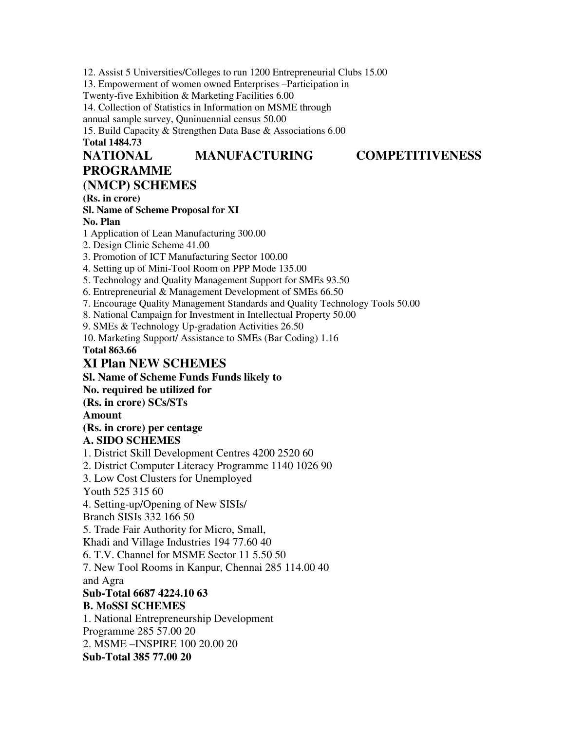12. Assist 5 Universities/Colleges to run 1200 Entrepreneurial Clubs 15.00 13. Empowerment of women owned Enterprises –Participation in Twenty-five Exhibition & Marketing Facilities 6.00 14. Collection of Statistics in Information on MSME through annual sample survey, Quninuennial census 50.00 15. Build Capacity & Strengthen Data Base & Associations 6.00 **Total 1484.73 NATIONAL MANUFACTURING COMPETITIVENESS PROGRAMME (NMCP) SCHEMES (Rs. in crore) Sl. Name of Scheme Proposal for XI No. Plan**  1 Application of Lean Manufacturing 300.00 2. Design Clinic Scheme 41.00 3. Promotion of ICT Manufacturing Sector 100.00 4. Setting up of Mini-Tool Room on PPP Mode 135.00 5. Technology and Quality Management Support for SMEs 93.50 6. Entrepreneurial & Management Development of SMEs 66.50 7. Encourage Quality Management Standards and Quality Technology Tools 50.00 8. National Campaign for Investment in Intellectual Property 50.00 9. SMEs & Technology Up-gradation Activities 26.50 10. Marketing Support/ Assistance to SMEs (Bar Coding) 1.16 **Total 863.66 XI Plan NEW SCHEMES Sl. Name of Scheme Funds Funds likely to No. required be utilized for (Rs. in crore) SCs/STs Amount (Rs. in crore) per centage A. SIDO SCHEMES**  1. District Skill Development Centres 4200 2520 60 2. District Computer Literacy Programme 1140 1026 90 3. Low Cost Clusters for Unemployed Youth 525 315 60 4. Setting-up/Opening of New SISIs/ Branch SISIs 332 166 50 5. Trade Fair Authority for Micro, Small, Khadi and Village Industries 194 77.60 40 6. T.V. Channel for MSME Sector 11 5.50 50 7. New Tool Rooms in Kanpur, Chennai 285 114.00 40 and Agra **Sub-Total 6687 4224.10 63 B. MoSSI SCHEMES**  1. National Entrepreneurship Development Programme 285 57.00 20 2. MSME –INSPIRE 100 20.00 20 **Sub-Total 385 77.00 20**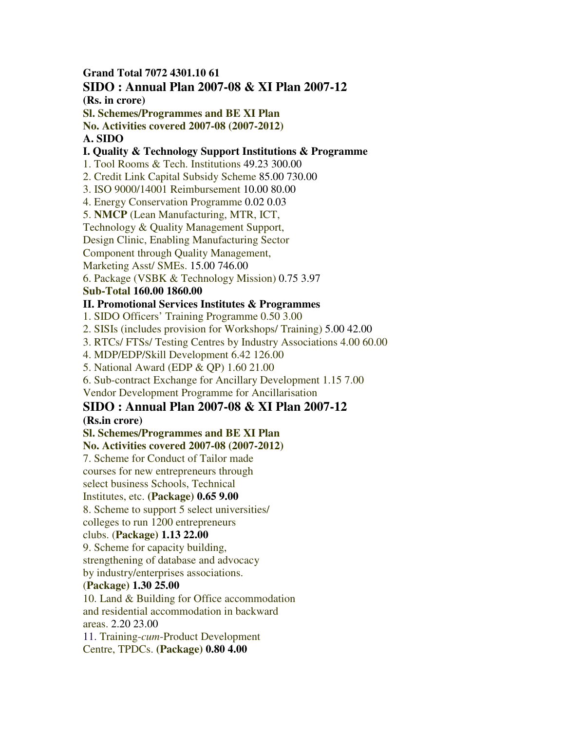#### **Grand Total 7072 4301.10 61 SIDO : Annual Plan 2007-08 & XI Plan 2007-12**

**(Rs. in crore)** 

**Sl. Schemes/Programmes and BE XI Plan** 

**No. Activities covered 2007-08 (2007-2012)** 

#### **A. SIDO**

#### **I. Quality & Technology Support Institutions & Programme**

1. Tool Rooms & Tech. Institutions 49.23 300.00

2. Credit Link Capital Subsidy Scheme 85.00 730.00

3. ISO 9000/14001 Reimbursement 10.00 80.00

4. Energy Conservation Programme 0.02 0.03

5. **NMCP** (Lean Manufacturing, MTR, ICT,

Technology & Quality Management Support,

Design Clinic, Enabling Manufacturing Sector

Component through Quality Management,

Marketing Asst/ SMEs. 15.00 746.00

6. Package (VSBK & Technology Mission) 0.75 3.97

# **Sub-Total 160.00 1860.00**

# **II. Promotional Services Institutes & Programmes**

1. SIDO Officers' Training Programme 0.50 3.00

2. SISIs (includes provision for Workshops/ Training) 5.00 42.00

3. RTCs/ FTSs/ Testing Centres by Industry Associations 4.00 60.00

4. MDP/EDP/Skill Development 6.42 126.00

5. National Award (EDP & QP) 1.60 21.00

6. Sub-contract Exchange for Ancillary Development 1.15 7.00

Vendor Development Programme for Ancillarisation

# **SIDO : Annual Plan 2007-08 & XI Plan 2007-12**

## **(Rs.in crore)**

**Sl. Schemes/Programmes and BE XI Plan** 

**No. Activities covered 2007-08 (2007-2012)** 

7. Scheme for Conduct of Tailor made courses for new entrepreneurs through

select business Schools, Technical

Institutes, etc. **(Package) 0.65 9.00** 

8. Scheme to support 5 select universities/

colleges to run 1200 entrepreneurs

# clubs. (**Package) 1.13 22.00**

9. Scheme for capacity building,

strengthening of database and advocacy

by industry/enterprises associations.

# (**Package) 1.30 25.00**

10. Land & Building for Office accommodation and residential accommodation in backward areas. 2.20 23.00

11. Training-*cum*-Product Development Centre, TPDCs. **(Package) 0.80 4.00**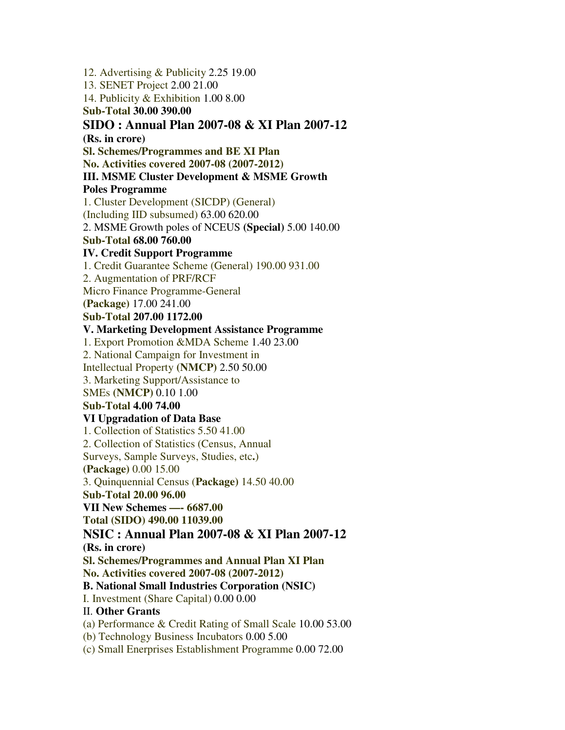12. Advertising & Publicity 2.25 19.00 13. SENET Project 2.00 21.00 14. Publicity & Exhibition 1.00 8.00 **Sub-Total 30.00 390.00 SIDO : Annual Plan 2007-08 & XI Plan 2007-12 (Rs. in crore) Sl. Schemes/Programmes and BE XI Plan No. Activities covered 2007-08 (2007-2012) III. MSME Cluster Development & MSME Growth Poles Programme**  1. Cluster Development (SICDP) (General) (Including IID subsumed) 63.00 620.00 2. MSME Growth poles of NCEUS **(Special)** 5.00 140.00 **Sub-Total 68.00 760.00 IV. Credit Support Programme**  1. Credit Guarantee Scheme (General) 190.00 931.00 2. Augmentation of PRF/RCF Micro Finance Programme-General **(Package)** 17.00 241.00 **Sub-Total 207.00 1172.00 V. Marketing Development Assistance Programme**  1. Export Promotion &MDA Scheme 1.40 23.00 2. National Campaign for Investment in Intellectual Property **(NMCP)** 2.50 50.00 3. Marketing Support/Assistance to SMEs **(NMCP)** 0.10 1.00 **Sub-Total 4.00 74.00 VI Upgradation of Data Base**  1. Collection of Statistics 5.50 41.00 2. Collection of Statistics (Census, Annual Surveys, Sample Surveys, Studies, etc**.**) **(Package)** 0.00 15.00 3. Quinquennial Census (**Package)** 14.50 40.00 **Sub-Total 20.00 96.00 VII New Schemes —- 6687.00 Total (SIDO) 490.00 11039.00 NSIC : Annual Plan 2007-08 & XI Plan 2007-12 (Rs. in crore) Sl. Schemes/Programmes and Annual Plan XI Plan No. Activities covered 2007-08 (2007-2012) B. National Small Industries Corporation (NSIC)**  I. Investment (Share Capital) 0.00 0.00 II. **Other Grants**  (a) Performance & Credit Rating of Small Scale 10.00 53.00 (b) Technology Business Incubators 0.00 5.00 (c) Small Enerprises Establishment Programme 0.00 72.00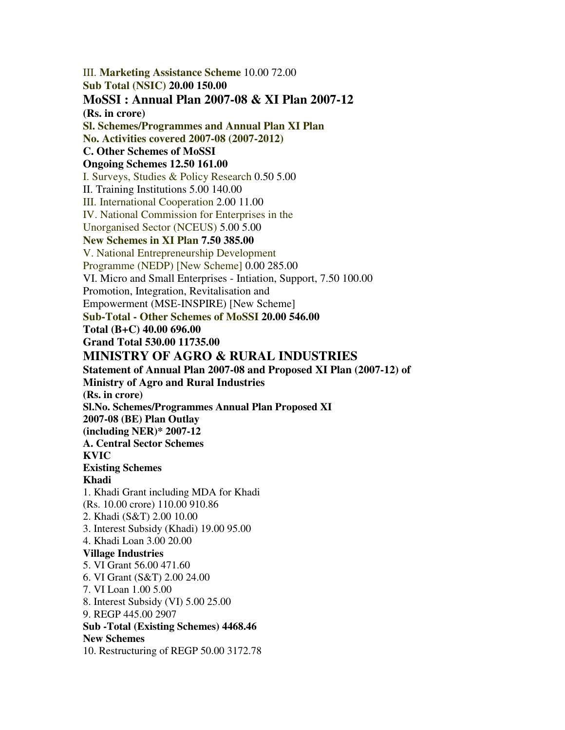III. **Marketing Assistance Scheme** 10.00 72.00 **Sub Total (NSIC) 20.00 150.00 MoSSI : Annual Plan 2007-08 & XI Plan 2007-12 (Rs. in crore) Sl. Schemes/Programmes and Annual Plan XI Plan No. Activities covered 2007-08 (2007-2012) C. Other Schemes of MoSSI Ongoing Schemes 12.50 161.00**  I. Surveys, Studies & Policy Research 0.50 5.00 II. Training Institutions 5.00 140.00 III. International Cooperation 2.00 11.00 IV. National Commission for Enterprises in the Unorganised Sector (NCEUS) 5.00 5.00 **New Schemes in XI Plan 7.50 385.00**  V. National Entrepreneurship Development Programme (NEDP) [New Scheme] 0.00 285.00 VI. Micro and Small Enterprises - Intiation, Support, 7.50 100.00 Promotion, Integration, Revitalisation and Empowerment (MSE-INSPIRE) [New Scheme] **Sub-Total - Other Schemes of MoSSI 20.00 546.00 Total (B+C) 40.00 696.00 Grand Total 530.00 11735.00 MINISTRY OF AGRO & RURAL INDUSTRIES Statement of Annual Plan 2007-08 and Proposed XI Plan (2007-12) of Ministry of Agro and Rural Industries (Rs. in crore) Sl.No. Schemes/Programmes Annual Plan Proposed XI 2007-08 (BE) Plan Outlay (including NER)\* 2007-12 A. Central Sector Schemes KVIC Existing Schemes Khadi**  1. Khadi Grant including MDA for Khadi (Rs. 10.00 crore) 110.00 910.86 2. Khadi (S&T) 2.00 10.00 3. Interest Subsidy (Khadi) 19.00 95.00 4. Khadi Loan 3.00 20.00 **Village Industries**  5. VI Grant 56.00 471.60 6. VI Grant (S&T) 2.00 24.00 7. VI Loan 1.00 5.00 8. Interest Subsidy (VI) 5.00 25.00 9. REGP 445.00 2907 **Sub -Total (Existing Schemes) 4468.46 New Schemes**  10. Restructuring of REGP 50.00 3172.78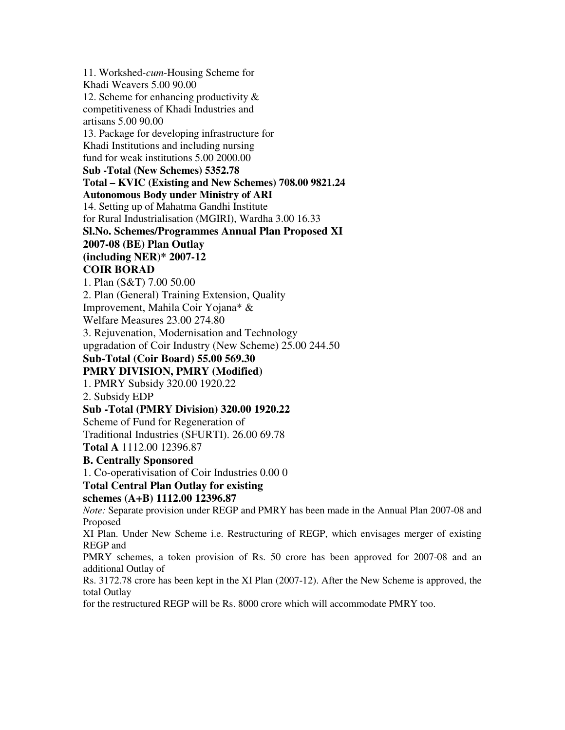11. Workshed-*cum*-Housing Scheme for Khadi Weavers 5.00 90.00 12. Scheme for enhancing productivity & competitiveness of Khadi Industries and artisans 5.00 90.00 13. Package for developing infrastructure for Khadi Institutions and including nursing fund for weak institutions 5.00 2000.00 **Sub -Total (New Schemes) 5352.78 Total – KVIC (Existing and New Schemes) 708.00 9821.24 Autonomous Body under Ministry of ARI**  14. Setting up of Mahatma Gandhi Institute for Rural Industrialisation (MGIRI), Wardha 3.00 16.33 **Sl.No. Schemes/Programmes Annual Plan Proposed XI 2007-08 (BE) Plan Outlay (including NER)\* 2007-12 COIR BORAD**  1. Plan (S&T) 7.00 50.00 2. Plan (General) Training Extension, Quality Improvement, Mahila Coir Yojana\* & Welfare Measures 23.00 274.80 3. Rejuvenation, Modernisation and Technology upgradation of Coir Industry (New Scheme) 25.00 244.50 **Sub-Total (Coir Board) 55.00 569.30 PMRY DIVISION, PMRY (Modified)**  1. PMRY Subsidy 320.00 1920.22 2. Subsidy EDP **Sub -Total (PMRY Division) 320.00 1920.22**  Scheme of Fund for Regeneration of Traditional Industries (SFURTI). 26.00 69.78 **Total A** 1112.00 12396.87 **B. Centrally Sponsored**  1. Co-operativisation of Coir Industries 0.00 0 **Total Central Plan Outlay for existing schemes (A+B) 1112.00 12396.87**  *Note:* Separate provision under REGP and PMRY has been made in the Annual Plan 2007-08 and Proposed XI Plan. Under New Scheme i.e. Restructuring of REGP, which envisages merger of existing REGP and PMRY schemes, a token provision of Rs. 50 crore has been approved for 2007-08 and an additional Outlay of Rs. 3172.78 crore has been kept in the XI Plan (2007-12). After the New Scheme is approved, the total Outlay for the restructured REGP will be Rs. 8000 crore which will accommodate PMRY too.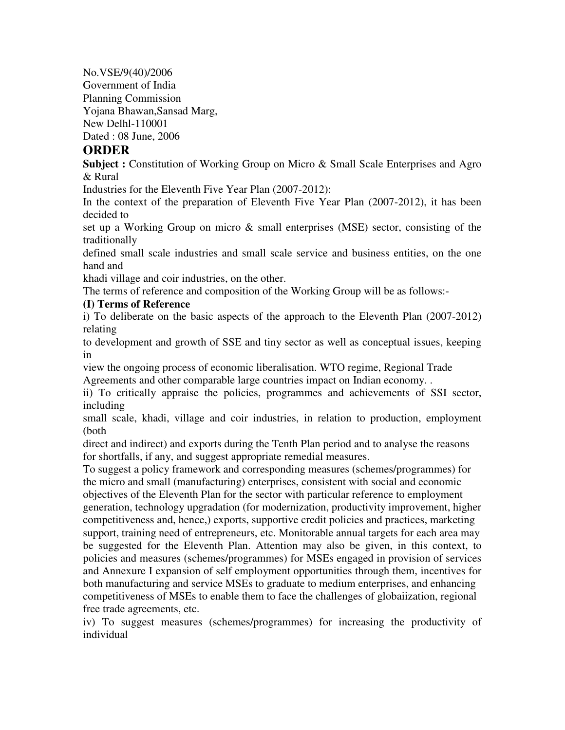No.VSE/9(40)/2006

Government of India

Planning Commission

Yojana Bhawan,Sansad Marg,

New Delhl-110001

Dated : 08 June, 2006

# **ORDER**

**Subject :** Constitution of Working Group on Micro & Small Scale Enterprises and Agro & Rural

Industries for the Eleventh Five Year Plan (2007-2012):

In the context of the preparation of Eleventh Five Year Plan (2007-2012), it has been decided to

set up a Working Group on micro & small enterprises (MSE) sector, consisting of the traditionally

defined small scale industries and small scale service and business entities, on the one hand and

khadi village and coir industries, on the other.

The terms of reference and composition of the Working Group will be as follows:-

# **(I) Terms of Reference**

i) To deliberate on the basic aspects of the approach to the Eleventh Plan (2007-2012) relating

to development and growth of SSE and tiny sector as well as conceptual issues, keeping in

view the ongoing process of economic liberalisation. WTO regime, Regional Trade Agreements and other comparable large countries impact on Indian economy. .

ii) To critically appraise the policies, programmes and achievements of SSI sector, including

small scale, khadi, village and coir industries, in relation to production, employment (both

direct and indirect) and exports during the Tenth Plan period and to analyse the reasons for shortfalls, if any, and suggest appropriate remedial measures.

To suggest a policy framework and corresponding measures (schemes/programmes) for the micro and small (manufacturing) enterprises, consistent with social and economic objectives of the Eleventh Plan for the sector with particular reference to employment generation, technology upgradation (for modernization, productivity improvement, higher competitiveness and, hence,) exports, supportive credit policies and practices, marketing support, training need of entrepreneurs, etc. Monitorable annual targets for each area may be suggested for the Eleventh Plan. Attention may also be given, in this context, to policies and measures (schemes/programmes) for MSEs engaged in provision of services and Annexure I expansion of self employment opportunities through them, incentives for both manufacturing and service MSEs to graduate to medium enterprises, and enhancing competitiveness of MSEs to enable them to face the challenges of globaiization, regional free trade agreements, etc.

iv) To suggest measures (schemes/programmes) for increasing the productivity of individual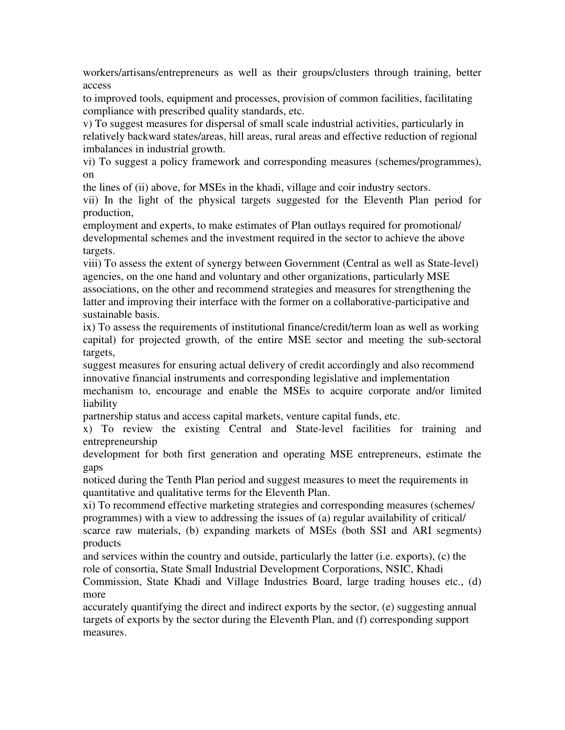workers/artisans/entrepreneurs as well as their groups/clusters through training, better access

to improved tools, equipment and processes, provision of common facilities, facilitating compliance with prescribed quality standards, etc.

v) To suggest measures for dispersal of small scale industrial activities, particularly in relatively backward states/areas, hill areas, rural areas and effective reduction of regional imbalances in industrial growth.

vi) To suggest a policy framework and corresponding measures (schemes/programmes), on

the lines of (ii) above, for MSEs in the khadi, village and coir industry sectors.

vii) In the light of the physical targets suggested for the Eleventh Plan period for production,

employment and experts, to make estimates of Plan outlays required for promotional/ developmental schemes and the investment required in the sector to achieve the above targets.

viii) To assess the extent of synergy between Government (Central as well as State-level) agencies, on the one hand and voluntary and other organizations, particularly MSE associations, on the other and recommend strategies and measures for strengthening the latter and improving their interface with the former on a collaborative-participative and sustainable basis.

ix) To assess the requirements of institutional finance/credit/term loan as well as working capital) for projected growth, of the entire MSE sector and meeting the sub-sectoral targets,

suggest measures for ensuring actual delivery of credit accordingly and also recommend innovative financial instruments and corresponding legislative and implementation

mechanism to, encourage and enable the MSEs to acquire corporate and/or limited liability

partnership status and access capital markets, venture capital funds, etc.

x) To review the existing Central and State-level facilities for training and entrepreneurship

development for both first generation and operating MSE entrepreneurs, estimate the gaps

noticed during the Tenth Plan period and suggest measures to meet the requirements in quantitative and qualitative terms for the Eleventh Plan.

xi) To recommend effective marketing strategies and corresponding measures (schemes/ programmes) with a view to addressing the issues of (a) regular availability of critical/ scarce raw materials, (b) expanding markets of MSEs (both SSI and ARI segments) products

and services within the country and outside, particularly the latter (i.e. exports), (c) the role of consortia, State Small Industrial Development Corporations, NSIC, Khadi

Commission, State Khadi and Village Industries Board, large trading houses etc., (d) more

accurately quantifying the direct and indirect exports by the sector, (e) suggesting annual targets of exports by the sector during the Eleventh Plan, and (f) corresponding support measures.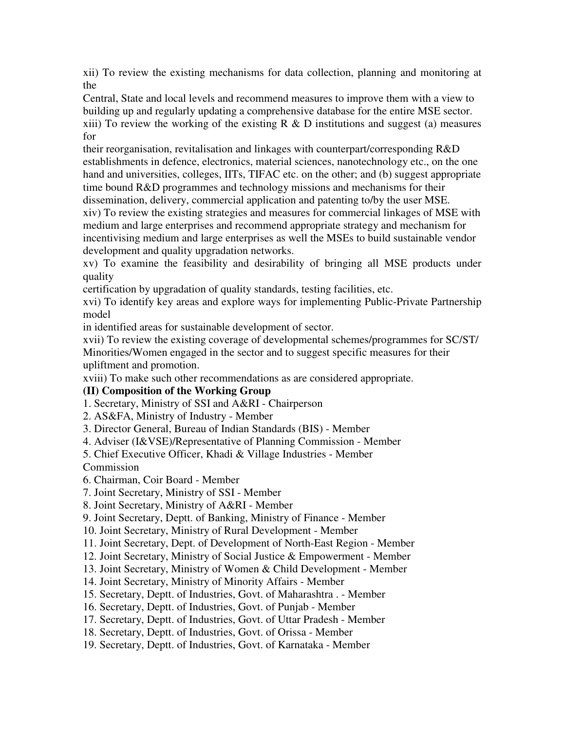xii) To review the existing mechanisms for data collection, planning and monitoring at the

Central, State and local levels and recommend measures to improve them with a view to building up and regularly updating a comprehensive database for the entire MSE sector. xiii) To review the working of the existing  $R \& D$  institutions and suggest (a) measures for

their reorganisation, revitalisation and linkages with counterpart/corresponding R&D establishments in defence, electronics, material sciences, nanotechnology etc., on the one hand and universities, colleges, IITs, TIFAC etc. on the other; and (b) suggest appropriate time bound R&D programmes and technology missions and mechanisms for their dissemination, delivery, commercial application and patenting to/by the user MSE.

xiv) To review the existing strategies and measures for commercial linkages of MSE with medium and large enterprises and recommend appropriate strategy and mechanism for incentivising medium and large enterprises as well the MSEs to build sustainable vendor development and quality upgradation networks.

xv) To examine the feasibility and desirability of bringing all MSE products under quality

certification by upgradation of quality standards, testing facilities, etc.

xvi) To identify key areas and explore ways for implementing Public-Private Partnership model

in identified areas for sustainable development of sector.

xvii) To review the existing coverage of developmental schemes/programmes for SC/ST/ Minorities/Women engaged in the sector and to suggest specific measures for their upliftment and promotion.

xviii) To make such other recommendations as are considered appropriate.

# **(II) Composition of the Working Group**

1. Secretary, Ministry of SSI and A&RI - Chairperson

2. AS&FA, Ministry of Industry - Member

3. Director General, Bureau of Indian Standards (BIS) - Member

4. Adviser (I&VSE)/Representative of Planning Commission - Member

5. Chief Executive Officer, Khadi & Village Industries - Member

Commission

6. Chairman, Coir Board - Member

7. Joint Secretary, Ministry of SSI - Member

8. Joint Secretary, Ministry of A&RI - Member

9. Joint Secretary, Deptt. of Banking, Ministry of Finance - Member

10. Joint Secretary, Ministry of Rural Development - Member

11. Joint Secretary, Dept. of Development of North-East Region - Member

12. Joint Secretary, Ministry of Social Justice & Empowerment - Member

13. Joint Secretary, Ministry of Women & Child Development - Member

14. Joint Secretary, Ministry of Minority Affairs - Member

15. Secretary, Deptt. of Industries, Govt. of Maharashtra . - Member

16. Secretary, Deptt. of Industries, Govt. of Punjab - Member

17. Secretary, Deptt. of Industries, Govt. of Uttar Pradesh - Member

18. Secretary, Deptt. of Industries, Govt. of Orissa - Member

19. Secretary, Deptt. of Industries, Govt. of Karnataka - Member